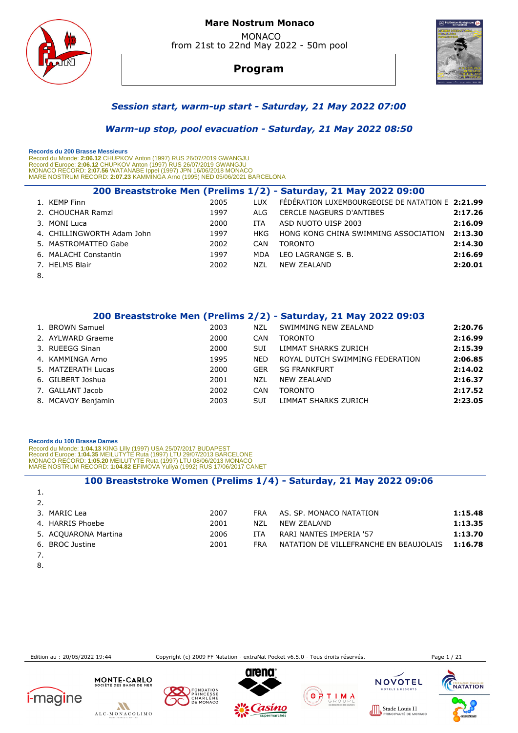

# **Mare Nostrum Monaco**  MONACO

from 21st to 22nd May 2022 - 50m pool

**Program**



#### *Session start, warm-up start - Saturday, 21 May 2022 07:00*

#### *Warm-up stop, pool evacuation - Saturday, 21 May 2022 08:50*

 **Records du 200 Brasse Messieurs** 

Record du Monde: **2:06.12** CHUPKOV Anton (1997) RUS 26/07/2019 GWANGJU<br>Record d'Europe: 2**:06.12** CHUPKOV Anton (1997) RUS 26/07/2019 GWANGJU<br>MONACO RECORD: **2:07.56** WATANABE Ippei (1997) JPN 16/06/2018 MONACO<br>MARE NOSTRU

|    |                            |      |            | 200 Breaststroke Men (Prelims 1/2) - Saturday, 21 May 2022 09:00 |         |
|----|----------------------------|------|------------|------------------------------------------------------------------|---------|
|    | 1. KEMP Finn               | 2005 | LUX        | FÉDÉRATION LUXEMBOURGEOISE DE NATATION E 2:21.99                 |         |
|    | 2. CHOUCHAR Ramzi          | 1997 | ALG.       | <b>CERCLE NAGEURS D'ANTIBES</b>                                  | 2:17.26 |
|    | 3. MONI Luca               | 2000 | <b>ITA</b> | ASD NUOTO UISP 2003                                              | 2:16.09 |
|    | 4. CHILLINGWORTH Adam John | 1997 | HKG.       | HONG KONG CHINA SWIMMING ASSOCIATION                             | 2:13.30 |
|    | 5. MASTROMATTEO Gabe       | 2002 | CAN        | <b>TORONTO</b>                                                   | 2:14.30 |
|    | 6. MALACHI Constantin      | 1997 | MDA        | LEO LAGRANGE S. B.                                               | 2:16.69 |
|    | 7. HELMS Blair             | 2002 | N71        | <b>NEW ZEALAND</b>                                               | 2:20.01 |
| 8. |                            |      |            |                                                                  |         |

 **200 Breaststroke Men (Prelims 2/2) - Saturday, 21 May 2022 09:03** 

| 1. BROWN Samuel    | 2003 | <b>NZL</b> | SWIMMING NEW ZEALAND            | 2:20.76 |
|--------------------|------|------------|---------------------------------|---------|
| 2. AYLWARD Graeme  | 2000 | CAN        | <b>TORONTO</b>                  | 2:16.99 |
| 3. RUEEGG Sinan    | 2000 | <b>SUI</b> | LIMMAT SHARKS ZURICH            | 2:15.39 |
| 4. KAMMINGA Arno   | 1995 | <b>NED</b> | ROYAL DUTCH SWIMMING FEDERATION | 2:06.85 |
| 5. MATZERATH Lucas | 2000 | <b>GER</b> | <b>SG FRANKFURT</b>             | 2:14.02 |
| 6. GILBERT Joshua  | 2001 | <b>NZL</b> | <b>NEW ZEALAND</b>              | 2:16.37 |
| 7. GALLANT Jacob   | 2002 | CAN        | <b>TORONTO</b>                  | 2:17.52 |
| 8. MCAVOY Benjamin | 2003 | <b>SUI</b> | LIMMAT SHARKS ZURICH            | 2:23.05 |

 **Records du 100 Brasse Dames** 

Record du Monde: 1**:04.13** KING Lilly (1997) USA 25/07/2017 BUDAPEST<br>Record d'Europe: 1:**04.35 MEILUTYTE Ruta (1997) LTU 29/07/2013 BARCELONE**<br>MONACO RECORD: 1**:05.20 MEILUTYTE Ruta (1997) LTU 08/06/2013 MONACO**<br>MARE NOSTR

#### **100 Breaststroke Women (Prelims 1/4) - Saturday, 21 May 2022 09:06**

| 2. |                      |      |            |                                        |         |
|----|----------------------|------|------------|----------------------------------------|---------|
|    | 3. MARIC Lea         | 2007 | <b>FRA</b> | AS. SP. MONACO NATATION                | 1:15.48 |
|    | 4. HARRIS Phoebe     | 2001 | NZL        | NFW 7FAI AND                           | 1:13.35 |
|    | 5. ACQUARONA Martina | 2006 | <b>ITA</b> | RARI NANTES IMPERIA '57                | 1:13.70 |
|    | 6. BROC Justine      | 2001 | <b>FRA</b> | NATATION DE VILLEFRANCHE EN BEAUJOLAIS | 1:16.78 |
|    |                      |      |            |                                        |         |

8.

1.

Edition au : 20/05/2022 19:44 Copyright (c) 2009 FF Natation - extraNat Pocket v6.5.0 - Tous droits réservés. Page 1 / 21





**MONTE·CARLO**<br>SOCIÉTÉ DES BAINS DE MER











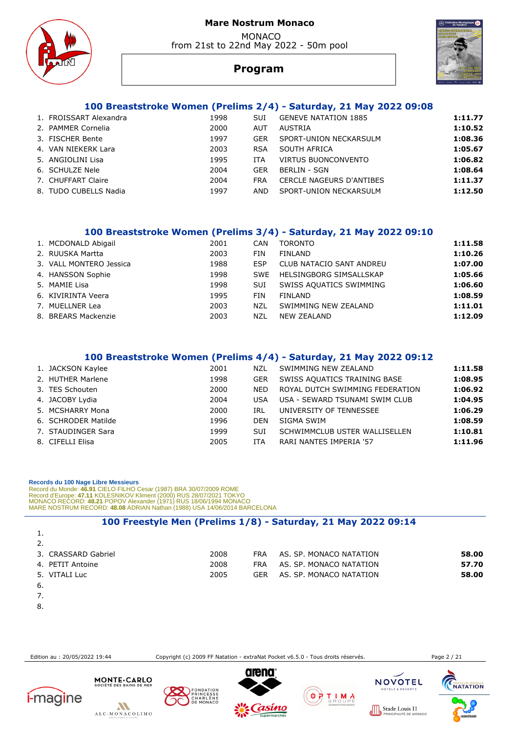MONACO from 21st to 22nd May 2022 - 50m pool





# **Program**

#### **100 Breaststroke Women (Prelims 2/4) - Saturday, 21 May 2022 09:08**

| 1. FROISSART Alexandra | 1998 | <b>SUI</b> | <b>GENEVE NATATION 1885</b>     | 1:11.77 |
|------------------------|------|------------|---------------------------------|---------|
| 2. PAMMER Cornelia     | 2000 | AUT        | <b>AUSTRIA</b>                  | 1:10.52 |
| 3. FISCHER Bente       | 1997 | <b>GER</b> | SPORT-UNION NECKARSULM          | 1:08.36 |
| 4. VAN NIEKERK Lara    | 2003 | <b>RSA</b> | SOUTH AFRICA                    | 1:05.67 |
| 5. ANGIOLINI Lisa      | 1995 | <b>ITA</b> | <b>VIRTUS BUONCONVENTO</b>      | 1:06.82 |
| 6. SCHULZE Nele        | 2004 | <b>GER</b> | <b>BERLIN - SGN</b>             | 1:08.64 |
| 7. CHUFFART Claire     | 2004 | <b>FRA</b> | <b>CERCLE NAGEURS D'ANTIBES</b> | 1:11.37 |
| 8. TUDO CUBELLS Nadia  | 1997 | AND        | SPORT-UNION NECKARSULM          | 1:12.50 |

#### **100 Breaststroke Women (Prelims 3/4) - Saturday, 21 May 2022 09:10**

| 1. MCDONALD Abigail     | 2001 | <b>CAN</b> | <b>TORONTO</b>                  | 1:11.58 |
|-------------------------|------|------------|---------------------------------|---------|
| 2. RUUSKA Martta        | 2003 | <b>FIN</b> | <b>FINLAND</b>                  | 1:10.26 |
| 3. VALL MONTERO Jessica | 1988 | ESP        | <b>CLUB NATACIO SANT ANDREU</b> | 1:07.00 |
| 4. HANSSON Sophie       | 1998 | <b>SWF</b> | HELSINGBORG SIMSALLSKAP         | 1:05.66 |
| 5. MAMIE Lisa           | 1998 | SUI        | SWISS AOUATICS SWIMMING         | 1:06.60 |
| 6. KIVIRINTA Veera      | 1995 | <b>FIN</b> | <b>FINLAND</b>                  | 1:08.59 |
| 7. MUELLNER Lea         | 2003 | NZL        | SWIMMING NEW ZEALAND            | 1:11.01 |
| 8. BREARS Mackenzie     | 2003 | NZL        | NEW ZEALAND                     | 1:12.09 |

#### **100 Breaststroke Women (Prelims 4/4) - Saturday, 21 May 2022 09:12**

| 2001 | NZL        | SWIMMING NEW ZEALAND            | 1:11.58 |
|------|------------|---------------------------------|---------|
| 1998 | <b>GER</b> | SWISS AQUATICS TRAINING BASE    | 1:08.95 |
| 2000 | <b>NED</b> | ROYAL DUTCH SWIMMING FEDERATION | 1:06.92 |
| 2004 | <b>USA</b> | USA - SEWARD TSUNAMI SWIM CLUB  | 1:04.95 |
| 2000 | IRL        | UNIVERSITY OF TENNESSEE         | 1:06.29 |
| 1996 | <b>DEN</b> | SIGMA SWIM                      | 1:08.59 |
| 1999 | <b>SUI</b> | SCHWIMMCLUB USTER WALLISELLEN   | 1:10.81 |
| 2005 | ITA.       | RARI NANTES IMPERIA '57         | 1:11.96 |
|      |            |                                 |         |

#### **Records du 100 Nage Libre Messieurs**

Record du Monde: 46.91 CIELO FILHO Cesar (1987) BRA 30/07/2009 ROME<br>Record d'Europe: 47.11 KOLESNIKOV Kliment (2000) RUS 28/07/2021 TOKYO<br>MONACO RECORD: 48.21 POPOV Alexander (1971) RUS 18/06/1994 MONACO<br>MARE NOSTRUM RECOR

# **100 Freestyle Men (Prelims 1/8) - Saturday, 21 May 2022 09:14**

| 1.                  |      |            |                         |       |
|---------------------|------|------------|-------------------------|-------|
| 2.                  |      |            |                         |       |
| 3. CRASSARD Gabriel | 2008 | <b>FRA</b> | AS. SP. MONACO NATATION | 58.00 |
| 4. PETIT Antoine    | 2008 | <b>FRA</b> | AS. SP. MONACO NATATION | 57.70 |
| 5. VITALI Luc       | 2005 | GER        | AS. SP. MONACO NATATION | 58.00 |
| -6.                 |      |            |                         |       |
| 7.                  |      |            |                         |       |

8.

Edition au : 20/05/2022 19:44 Copyright (c) 2009 FF Natation - extraNat Pocket v6.5.0 - Tous droits réservés. Page 2 / 21

 $0000$ 





MONTE . CARLO







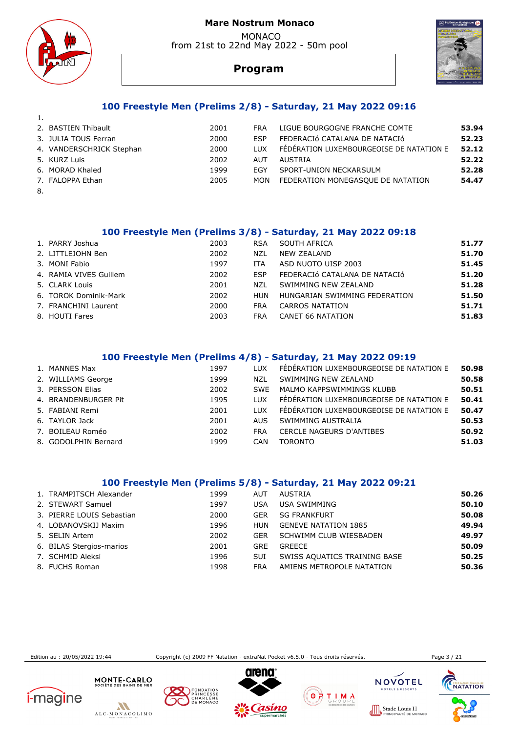MONACO from 21st to 22nd May 2022 - 50m pool





# **Program**

#### **100 Freestyle Men (Prelims 2/8) - Saturday, 21 May 2022 09:16**

| 2. BASTIEN Thibault      | 2001 | <b>FRA</b> | LIGUE BOURGOGNE FRANCHE COMTE            | 53.94 |
|--------------------------|------|------------|------------------------------------------|-------|
| 3. JULIA TOUS Ferran     | 2000 | <b>FSP</b> | FEDERACIÓ CATALANA DE NATACIÓ            | 52.23 |
| 4. VANDERSCHRICK Stephan | 2000 | <b>TUX</b> | FÉDÉRATION LUXEMBOURGEOISE DE NATATION E | 52.12 |
| 5. KURZ Luis             | 2002 | AUT        | AUSTRIA                                  | 52.22 |
| 6. MORAD Khaled          | 1999 | <b>FGY</b> | SPORT-UNION NECKARSULM                   | 52.28 |
| 7. FALOPPA Ethan         | 2005 | MON        | FEDERATION MONEGASOUE DE NATATION        | 54.47 |
|                          |      |            |                                          |       |

8.

1.

#### **100 Freestyle Men (Prelims 3/8) - Saturday, 21 May 2022 09:18**

| 1. PARRY Joshua        | 2003 | <b>RSA</b> | SOUTH AFRICA                  | 51.77 |
|------------------------|------|------------|-------------------------------|-------|
| 2. LITTLEJOHN Ben      | 2002 | <b>NZL</b> | NEW ZEALAND                   | 51.70 |
| 3. MONI Fabio          | 1997 | ITA        | ASD NUOTO UISP 2003           | 51.45 |
| 4. RAMIA VIVES Guillem | 2002 | <b>FSP</b> | FEDERACIÓ CATALANA DE NATACIÓ | 51.20 |
| 5. CLARK Louis         | 2001 | N71        | SWIMMING NEW ZEALAND          | 51.28 |
| 6. TOROK Dominik-Mark  | 2002 | <b>HUN</b> | HUNGARIAN SWIMMING FEDERATION | 51.50 |
| 7. FRANCHINI Laurent   | 2000 | <b>FRA</b> | <b>CARROS NATATION</b>        | 51.71 |
| 8. HOUTI Fares         | 2003 | <b>FRA</b> | CANET 66 NATATION             | 51.83 |

 **100 Freestyle Men (Prelims 4/8) - Saturday, 21 May 2022 09:19** 

| 1. MANNES Max        | 1997 | <b>LUX</b> | FEDERATION LUXEMBOURGEOISE DE NATATION E | 50.98 |
|----------------------|------|------------|------------------------------------------|-------|
| 2. WILLIAMS George   | 1999 | NZL        | SWIMMING NEW ZEALAND                     | 50.58 |
| 3. PERSSON Elias     | 2002 | <b>SWF</b> | MALMO KAPPSWIMMINGS KLUBB                | 50.51 |
| 4. BRANDENBURGER Pit | 1995 | <b>LUX</b> | FÉDÉRATION LUXEMBOURGEOISE DE NATATION E | 50.41 |
| 5. FABIANI Remi      | 2001 | <b>LUX</b> | FÉDÉRATION LUXEMBOURGEOISE DE NATATION E | 50.47 |
| 6. TAYLOR Jack       | 2001 | AUS.       | SWIMMING AUSTRALIA                       | 50.53 |
| 7. BOILEAU Roméo     | 2002 | <b>FRA</b> | <b>CERCLE NAGEURS D'ANTIBES</b>          | 50.92 |
| 8. GODOLPHIN Bernard | 1999 | CAN        | <b>TORONTO</b>                           | 51.03 |
|                      |      |            |                                          |       |

#### **100 Freestyle Men (Prelims 5/8) - Saturday, 21 May 2022 09:21**

| 1. TRAMPITSCH Alexander   | 1999 | AUT        | AUSTRIA                      | 50.26 |
|---------------------------|------|------------|------------------------------|-------|
| 2. STEWART Samuel         | 1997 | USA        | USA SWIMMING                 | 50.10 |
| 3. PIERRE LOUIS Sebastian | 2000 | <b>GER</b> | <b>SG FRANKFURT</b>          | 50.08 |
| 4. LOBANOVSKIJ Maxim      | 1996 | <b>HUN</b> | <b>GENEVE NATATION 1885</b>  | 49.94 |
| 5. SELIN Artem            | 2002 | <b>GER</b> | SCHWIMM CLUB WIESBADEN       | 49.97 |
| 6. BILAS Stergios-marios  | 2001 | <b>GRE</b> | <b>GREECE</b>                | 50.09 |
| 7. SCHMID Aleksi          | 1996 | SUI        | SWISS AQUATICS TRAINING BASE | 50.25 |
| 8. FUCHS Roman            | 1998 | <b>FRA</b> | AMIENS METROPOLE NATATION    | 50.36 |

Edition au : 20/05/2022 19:44 Copyright (c) 2009 FF Natation - extraNat Pocket v6.5.0 - Tous droits réservés. Page 3 / 21







MONTE CARLO









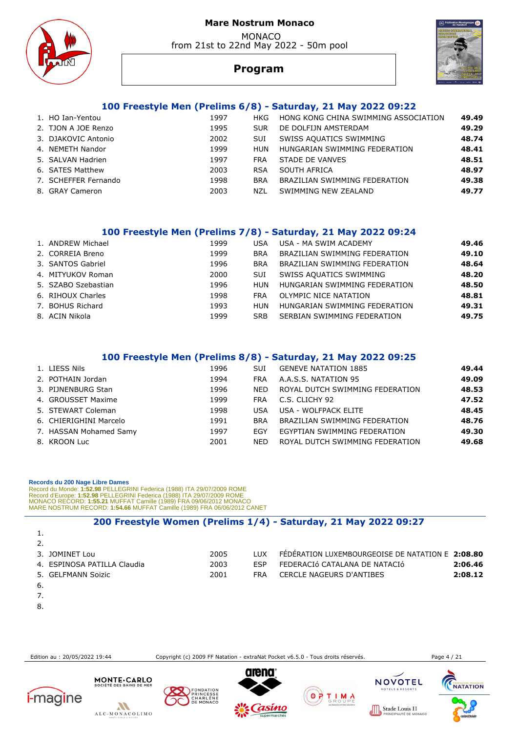MONACO from 21st to 22nd May 2022 - 50m pool





# **Program**

# **100 Freestyle Men (Prelims 6/8) - Saturday, 21 May 2022 09:22**

| 1. HO Ian-Yentou     | 1997 | HKG.       | HONG KONG CHINA SWIMMING ASSOCIATION | 49.49 |
|----------------------|------|------------|--------------------------------------|-------|
| 2. TJON A JOE Renzo  | 1995 | <b>SUR</b> | DE DOLFIJN AMSTERDAM                 | 49.29 |
| 3. DJAKOVIC Antonio  | 2002 | SUI        | SWISS AQUATICS SWIMMING              | 48.74 |
| 4. NEMETH Nandor     | 1999 | <b>HUN</b> | HUNGARIAN SWIMMING FEDERATION        | 48.41 |
| 5. SALVAN Hadrien    | 1997 | <b>FRA</b> | STADE DE VANVES                      | 48.51 |
| 6. SATES Matthew     | 2003 | <b>RSA</b> | SOUTH AFRICA                         | 48.97 |
| 7. SCHEFFER Fernando | 1998 | <b>BRA</b> | BRAZILIAN SWIMMING FEDERATION        | 49.38 |
| 8. GRAY Cameron      | 2003 | NZL        | SWIMMING NEW ZEALAND                 | 49.77 |
|                      |      |            |                                      |       |

#### **100 Freestyle Men (Prelims 7/8) - Saturday, 21 May 2022 09:24**

| 1. ANDREW Michael   | 1999 | USA        | USA - MA SWIM ACADEMY         | 49.46 |
|---------------------|------|------------|-------------------------------|-------|
| 2. CORREIA Breno    | 1999 | <b>BRA</b> | BRAZILIAN SWIMMING FEDERATION | 49.10 |
| 3. SANTOS Gabriel   | 1996 | <b>BRA</b> | BRAZILIAN SWIMMING FEDERATION | 48.64 |
| 4. MITYUKOV Roman   | 2000 | SUI        | SWISS AQUATICS SWIMMING       | 48.20 |
| 5. SZABO Szebastian | 1996 | HUN        | HUNGARIAN SWIMMING FEDERATION | 48.50 |
| 6. RIHOUX Charles   | 1998 | <b>FRA</b> | OLYMPIC NICE NATATION         | 48.81 |
| 7. BOHUS Richard    | 1993 | <b>HUN</b> | HUNGARIAN SWIMMING FEDERATION | 49.31 |
| 8. ACIN Nikola      | 1999 | <b>SRB</b> | SERBIAN SWIMMING FEDERATION   | 49.75 |

 **100 Freestyle Men (Prelims 8/8) - Saturday, 21 May 2022 09:25** 

| 1. LIESS Nils          | 1996 | <b>SUI</b> | <b>GENEVE NATATION 1885</b>     | 49.44 |
|------------------------|------|------------|---------------------------------|-------|
| 2. POTHAIN Jordan      | 1994 | <b>FRA</b> | A.A.S.S. NATATION 95            | 49.09 |
| 3. PIJNENBURG Stan     | 1996 | <b>NED</b> | ROYAL DUTCH SWIMMING FEDERATION | 48.53 |
| 4. GROUSSET Maxime     | 1999 | <b>FRA</b> | C.S. CLICHY 92                  | 47.52 |
| 5. STEWART Coleman     | 1998 | USA        | USA - WOLFPACK ELITE            | 48.45 |
| 6. CHIERIGHINI Marcelo | 1991 | <b>BRA</b> | BRAZILIAN SWIMMING FEDERATION   | 48.76 |
| 7. HASSAN Mohamed Samy | 1997 | EGY        | EGYPTIAN SWIMMING FEDERATION    | 49.30 |
| 8. KROON Luc           | 2001 | <b>NED</b> | ROYAL DUTCH SWIMMING FEDERATION | 49.68 |

#### **Records du 200 Nage Libre Dames**

Record du Monde: **1:52.98** PELLEGRINI Federica (1988) ITA 29/07/2009 ROME<br>Record d'Europe: 1**:52.98** PELLEGRINI Federica (1988) ITA 29/07/2009 ROME<br>MONACO RECORD: 1**:55.21 MUFFAT Camille (1989) FRA 09/06/2012 MONACO**<br>MARE

# **200 Freestyle Women (Prelims 1/4) - Saturday, 21 May 2022 09:27**

| 1.                          |      |            |                                                  |
|-----------------------------|------|------------|--------------------------------------------------|
| 2.                          |      |            |                                                  |
| 3. JOMINET Lou              | 2005 | TUX        | FÉDÉRATION LUXEMBOURGEOISE DE NATATION E 2:08.80 |
| 4. ESPINOSA PATILLA Claudia | 2003 | <b>FSP</b> | FEDERACIÓ CATALANA DE NATACIÓ<br>2:06.46         |
| 5. GELFMANN Soizic          | 2001 | <b>FRA</b> | 2:08.12<br>CERCLE NAGEURS D'ANTIBES              |
| -6.                         |      |            |                                                  |
| 7.                          |      |            |                                                  |

8.

Edition au : 20/05/2022 19:44 Copyright (c) 2009 FF Natation - extraNat Pocket v6.5.0 - Tous droits réservés. Page 4 / 21

**NOVOTEL** 

Stade Louis II









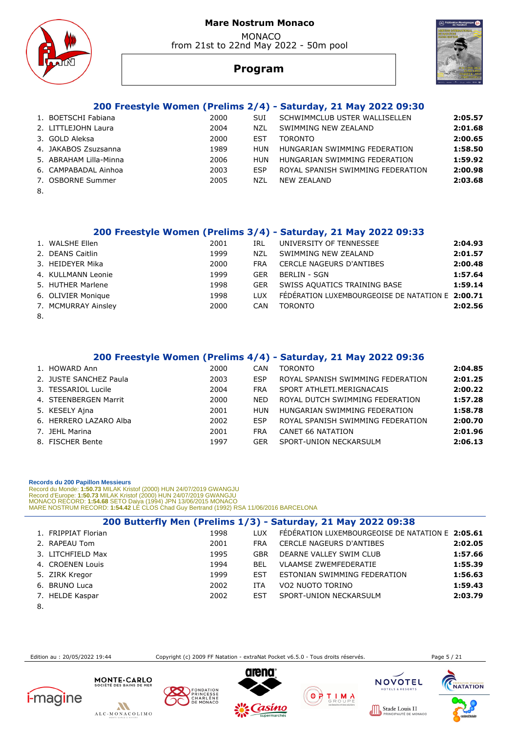MONACO from 21st to 22nd May 2022 - 50m pool





# **Program**

## **200 Freestyle Women (Prelims 2/4) - Saturday, 21 May 2022 09:30**

|        | 1. BOETSCHI Fabiana    | 2000 | <b>SUI</b> | SCHWIMMCLUB USTER WALLISELLEN     | 2:05.57 |
|--------|------------------------|------|------------|-----------------------------------|---------|
|        | 2. LITTLEJOHN Laura    | 2004 | NZL        | SWIMMING NEW ZEALAND              | 2:01.68 |
|        | 3. GOLD Aleksa         | 2000 | EST        | <b>TORONTO</b>                    | 2:00.65 |
|        | 4. JAKABOS Zsuzsanna   | 1989 | <b>HUN</b> | HUNGARIAN SWIMMING FEDERATION     | 1:58.50 |
|        | 5. ABRAHAM Lilla-Minna | 2006 | HUN        | HUNGARIAN SWIMMING FEDERATION     | 1:59.92 |
|        | 6. CAMPABADAL Ainhoa   | 2003 | <b>FSP</b> | ROYAL SPANISH SWIMMING FEDERATION | 2:00.98 |
|        | 7. OSBORNE Summer      | 2005 | N71.       | NEW ZEALAND                       | 2:03.68 |
| $\sim$ |                        |      |            |                                   |         |

8.

|        |                     |      |            | 200 Freestyle Women (Prelims 3/4) - Saturday, 21 May 2022 09:33 |         |
|--------|---------------------|------|------------|-----------------------------------------------------------------|---------|
|        | 1. WALSHE Ellen     | 2001 | IRL        | UNIVERSITY OF TENNESSEE                                         | 2:04.93 |
|        | 2. DEANS Caitlin    | 1999 | <b>NZL</b> | SWIMMING NEW ZEALAND                                            | 2:01.57 |
|        | 3. HEIDEYER Mika    | 2000 | <b>FRA</b> | <b>CERCLE NAGEURS D'ANTIBES</b>                                 | 2:00.48 |
|        | 4. KULLMANN Leonie  | 1999 | <b>GER</b> | <b>BERLIN - SGN</b>                                             | 1:57.64 |
|        | 5. HUTHER Marlene   | 1998 | <b>GER</b> | SWISS AQUATICS TRAINING BASE                                    | 1:59.14 |
|        | 6. OLIVIER Monique  | 1998 | TUX        | FÉDÉRATION LUXEMBOURGEOISE DE NATATION E 2:00.71                |         |
|        | 7. MCMURRAY Ainsley | 2000 | <b>CAN</b> | <b>TORONTO</b>                                                  | 2:02.56 |
| $\sim$ |                     |      |            |                                                                 |         |

8.

| 200 Freestyle Women (Prelims 4/4) - Saturday, 21 May 2022 09:36 |                        |      |            |                                   |         |  |  |  |
|-----------------------------------------------------------------|------------------------|------|------------|-----------------------------------|---------|--|--|--|
|                                                                 | 1. HOWARD Ann          | 2000 | CAN        | <b>TORONTO</b>                    | 2:04.85 |  |  |  |
|                                                                 | 2. JUSTE SANCHEZ Paula | 2003 | <b>ESP</b> | ROYAL SPANISH SWIMMING FEDERATION | 2:01.25 |  |  |  |
|                                                                 | 3. TESSARIOL Lucile    | 2004 | FRA        | SPORT ATHLETI.MERIGNACAIS         | 2:00.22 |  |  |  |
|                                                                 | 4. STEENBERGEN Marrit  | 2000 | <b>NFD</b> | ROYAL DUTCH SWIMMING FEDERATION   | 1:57.28 |  |  |  |
|                                                                 | 5. KESELY Ajna         | 2001 | <b>HUN</b> | HUNGARIAN SWIMMING FEDERATION     | 1:58.78 |  |  |  |
|                                                                 | 6. HERRERO LAZARO Alba | 2002 | <b>FSP</b> | ROYAL SPANISH SWIMMING FEDERATION | 2:00.70 |  |  |  |
|                                                                 | 7. JEHL Marina         | 2001 | <b>FRA</b> | CANET 66 NATATION                 | 2:01.96 |  |  |  |
|                                                                 | 8. FISCHER Bente       | 1997 | GER        | SPORT-UNION NECKARSULM            | 2:06.13 |  |  |  |

#### **Records du 200 Papillon Messieurs**

Record du Monde: 1**:50.73** MILAK Kristof (2000) HUN 24/07/2019 GWANGJU<br>Record d'Europe: 1**:50.73** MILAK Kristof (2000) HUN 24/07/2019 GWANGJU<br>MONACO RECORD: 1**:54.68** SETO Daiya (1994) JPN 13/06/2015 MONACO<br>MARE NOSTRUM RE

|        |                     |      |            | 200 Butterfly Men (Prelims 1/3) - Saturday, 21 May 2022 09:38 |         |
|--------|---------------------|------|------------|---------------------------------------------------------------|---------|
|        | 1. FRIPPIAT Florian | 1998 | <b>LUX</b> | FÉDÉRATION LUXEMBOURGEOISE DE NATATION E 2:05.61              |         |
|        | 2. RAPEAU Tom       | 2001 | <b>FRA</b> | <b>CERCLE NAGEURS D'ANTIBES</b>                               | 2:02.05 |
|        | 3. LITCHFIELD Max   | 1995 | <b>GBR</b> | DEARNE VALLEY SWIM CLUB                                       | 1:57.66 |
|        | 4. CROENEN Louis    | 1994 | <b>BEL</b> | <b>VLAAMSE ZWEMFEDERATIE</b>                                  | 1:55.39 |
|        | 5. ZIRK Kregor      | 1999 | <b>EST</b> | ESTONIAN SWIMMING FEDERATION                                  | 1:56.63 |
|        | 6. BRUNO Luca       | 2002 | ITA        | VO2 NUOTO TORINO                                              | 1:59.43 |
|        | 7. HELDE Kaspar     | 2002 | <b>EST</b> | SPORT-UNION NECKARSULM                                        | 2:03.79 |
| $\sim$ |                     |      |            |                                                               |         |

8.

Edition au : 20/05/2022 19:44 Copyright (c) 2009 FF Natation - extraNat Pocket v6.5.0 - Tous droits réservés. Page 5 / 21







FONDATION<br>PRINCESSE<br>CHARLÈNE<br>DE MONACO



TELS & RESO

**LIS II**<br>FDE MONACC



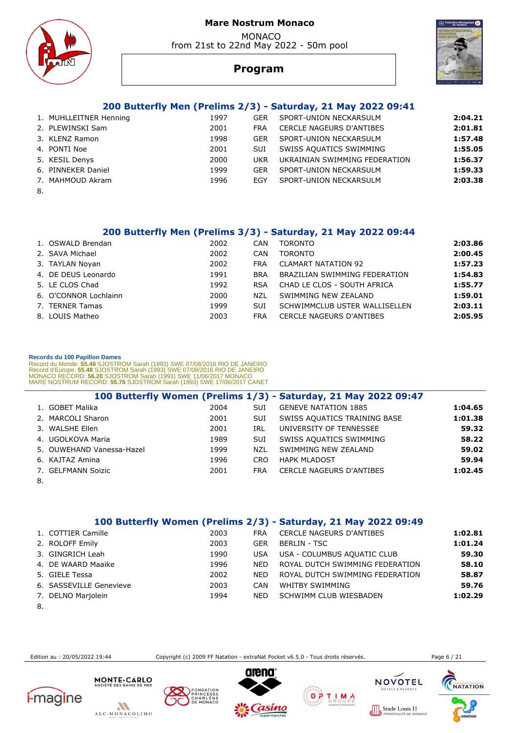





# **Program**

#### **200 Butterfly Men (Prelims 2/3) - Saturday, 21 May 2022 09:41**

|        | 1. MUHLLEITNER Henning | 1997 | <b>GER</b> | SPORT-UNION NECKARSULM          | 2:04.21 |
|--------|------------------------|------|------------|---------------------------------|---------|
|        | 2. PLEWINSKI Sam       | 2001 | <b>FRA</b> | <b>CERCLE NAGEURS D'ANTIBES</b> | 2:01.81 |
|        | 3. KLENZ Ramon         | 1998 | <b>GER</b> | SPORT-UNION NECKARSULM          | 1:57.48 |
|        | 4. PONTI Noe           | 2001 | <b>SUI</b> | SWISS AQUATICS SWIMMING         | 1:55.05 |
|        | 5. KESIL Denys         | 2000 | UKR.       | UKRAINIAN SWIMMING FEDERATION   | 1:56.37 |
|        | 6. PINNEKER Daniel     | 1999 | <b>GER</b> | SPORT-UNION NECKARSULM          | 1:59.33 |
|        | 7. MAHMOUD Akram       | 1996 | EGY        | SPORT-UNION NECKARSULM          | 2:03.38 |
| $\sim$ |                        |      |            |                                 |         |

8.

#### **200 Butterfly Men (Prelims 3/3) - Saturday, 21 May 2022 09:44**

| 1. OSWALD Brendan     | 2002 | CAN        | <b>TORONTO</b>                  | 2:03.86 |
|-----------------------|------|------------|---------------------------------|---------|
| 2. SAVA Michael       | 2002 | <b>CAN</b> | <b>TORONTO</b>                  | 2:00.45 |
| 3. TAYLAN Noyan       | 2002 | <b>FRA</b> | <b>CLAMART NATATION 92</b>      | 1:57.23 |
| 4. DE DEUS Leonardo   | 1991 | <b>BRA</b> | BRAZILIAN SWIMMING FEDERATION   | 1:54.83 |
| 5. LE CLOS Chad       | 1992 | <b>RSA</b> | CHAD LE CLOS - SOUTH AFRICA     | 1:55.77 |
| 6. O'CONNOR Lochlainn | 2000 | NZL        | SWIMMING NEW ZEALAND            | 1:59.01 |
| 7. TERNER Tamas       | 1999 | SUI        | SCHWIMMCLUB USTER WALLISELLEN   | 2:03.11 |
| 8. LOUIS Matheo       | 2003 | <b>FRA</b> | <b>CERCLE NAGEURS D'ANTIBES</b> | 2:05.95 |
|                       |      |            |                                 |         |

#### **Records du 100 Papillon Dames**

Record du Monde: 55.48 SJOSTROM Sarah (1993) SWE 07/08/2016 RIO DE JANEIRO<br>Record d'Europe: 55.48 SJOSTROM Sarah (1993) SWE 07/08/2016 RIO DE JANEIRO<br>MONACO RECORD: 56.20 SJOSTROM Sarah (1993) SWE 11/06/2017 MONACO<br>MARE NO

|        |                           |      |            | 100 Butterfly Women (Prelims 1/3) - Saturday, 21 May 2022 09:47 |         |
|--------|---------------------------|------|------------|-----------------------------------------------------------------|---------|
|        | 1. GOBET Malika           | 2004 | <b>SUI</b> | <b>GENEVE NATATION 1885</b>                                     | 1:04.65 |
|        | 2. MARCOLI Sharon         | 2001 | <b>SUI</b> | SWISS AQUATICS TRAINING BASE                                    | 1:01.38 |
|        | 3. WALSHE Ellen           | 2001 | IRL        | UNIVERSITY OF TENNESSEE                                         | 59.32   |
|        | 4. UGOLKOVA Maria         | 1989 | <b>SUI</b> | SWISS AQUATICS SWIMMING                                         | 58.22   |
|        | 5. OUWEHAND Vanessa-Hazel | 1999 | <b>NZL</b> | SWIMMING NEW ZEALAND                                            | 59.02   |
|        | 6. KAJTAZ Amina           | 1996 | <b>CRO</b> | <b>HAPK MLADOST</b>                                             | 59.94   |
|        | 7. GELFMANN Soizic        | 2001 | <b>FRA</b> | <b>CERCLE NAGEURS D'ANTIBES</b>                                 | 1:02.45 |
| $\sim$ |                           |      |            |                                                                 |         |

8.

|      |                         |      |            | 100 Butterfly Women (Prelims 2/3) - Saturday, 21 May 2022 09:49 |         |
|------|-------------------------|------|------------|-----------------------------------------------------------------|---------|
|      | 1. COTTIER Camille      | 2003 | <b>FRA</b> | <b>CERCLE NAGEURS D'ANTIBES</b>                                 | 1:02.81 |
|      | 2. ROLOFF Emily         | 2003 | <b>GER</b> | BERLIN - TSC                                                    | 1:01.24 |
|      | 3. GINGRICH Leah        | 1990 | <b>USA</b> | USA - COLUMBUS AQUATIC CLUB                                     | 59.30   |
|      | 4. DE WAARD Maaike      | 1996 | <b>NFD</b> | ROYAL DUTCH SWIMMING FEDERATION                                 | 58.10   |
|      | 5. GIELE Tessa          | 2002 | <b>NFD</b> | ROYAL DUTCH SWIMMING FEDERATION                                 | 58.87   |
|      | 6. SASSEVILLE Genevieve | 2003 | CAN        | <b>WHITBY SWIMMING</b>                                          | 59.76   |
|      | 7. DELNO Marjolein      | 1994 | NFD.       | SCHWIMM CLUB WIESBADEN                                          | 1:02.29 |
| - 82 |                         |      |            |                                                                 |         |

8.

Edition au : 20/05/2022 19:44 Copyright (c) 2009 FF Natation - extraNat Pocket v6.5.0 - Tous droits réservés. Page 6 / 21

 $0000$ 













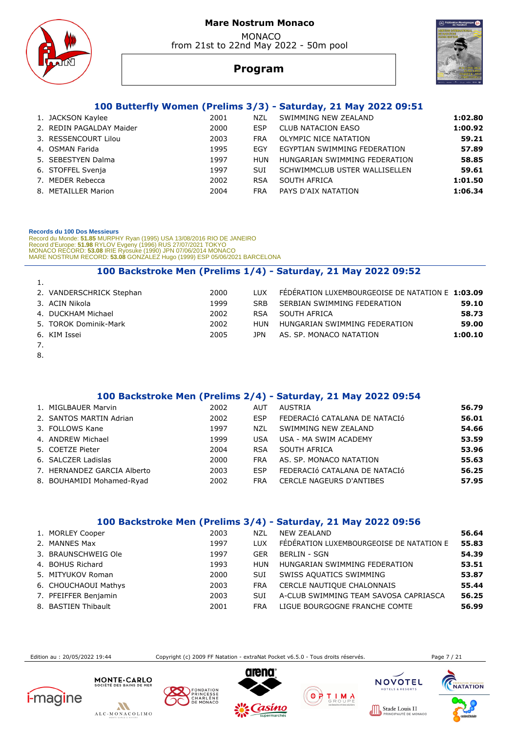





# **Program**

# **100 Butterfly Women (Prelims 3/3) - Saturday, 21 May 2022 09:51**

| 1. JACKSON Kaylee        | 2001 | NZL        | SWIMMING NEW ZEALAND          | 1:02.80 |
|--------------------------|------|------------|-------------------------------|---------|
| 2. REDIN PAGALDAY Maider | 2000 | <b>ESP</b> | <b>CLUB NATACION EASO</b>     | 1:00.92 |
| 3. RESSENCOURT Lilou     | 2003 | <b>FRA</b> | OLYMPIC NICE NATATION         | 59.21   |
| 4. OSMAN Farida          | 1995 | EGY        | EGYPTIAN SWIMMING FEDERATION  | 57.89   |
| 5. SEBESTYEN Dalma       | 1997 | HUN        | HUNGARIAN SWIMMING FEDERATION | 58.85   |
| 6. STOFFEL Svenja        | 1997 | <b>SUI</b> | SCHWIMMCLUB USTER WALLISELLEN | 59.61   |
| 7. MEDER Rebecca         | 2002 | <b>RSA</b> | SOUTH AFRICA                  | 1:01.50 |
| 8. METAILLER Marion      | 2004 | <b>FRA</b> | PAYS D'AIX NATATION           | 1:06.34 |

#### **Records du 100 Dos Messieurs**

Record du Monde: **51.85** MURPHY Ryan (1995) USA 13/08/2016 RIO DE JANEIRO<br>Record d'Europe: **51.98** RYLOV Evgeny (1996) RUS 27/07/2021 TOKYO<br>MONACO RECORD: **53.08** IRIE Ryosuke (1990) JPN 07/06/2014 MONACO<br>MARE NOSTRUM RECO

#### **100 Backstroke Men (Prelims 1/4) - Saturday, 21 May 2022 09:52**

| 2. VANDERSCHRICK Stephan | 2000 | TUX        | FÉDÉRATION LUXEMBOURGEOISE DE NATATION E 1:03.09 |         |
|--------------------------|------|------------|--------------------------------------------------|---------|
| 3. ACIN Nikola           | 1999 | <b>SRB</b> | SERBIAN SWIMMING FEDERATION                      | 59.10   |
| 4. DUCKHAM Michael       | 2002 | <b>RSA</b> | SOUTH AFRICA                                     | 58.73   |
| 5. TOROK Dominik-Mark    | 2002 | <b>HUN</b> | HUNGARIAN SWIMMING FEDERATION                    | 59.00   |
| 6. KIM Issei             | 2005 | 1PN        | AS. SP. MONACO NATATION                          | 1:00.10 |
|                          |      |            |                                                  |         |

8.

#### **100 Backstroke Men (Prelims 2/4) - Saturday, 21 May 2022 09:54**

| 1. MIGLBAUER Marvin         | 2002 | AUT        | AUSTRIA                       | 56.79 |
|-----------------------------|------|------------|-------------------------------|-------|
| 2. SANTOS MARTIN Adrian     | 2002 | <b>ESP</b> | FEDERACIÓ CATALANA DE NATACIÓ | 56.01 |
| 3. FOLLOWS Kane             | 1997 | N71        | SWIMMING NEW ZEALAND          | 54.66 |
| 4. ANDREW Michael           | 1999 | USA.       | USA - MA SWIM ACADEMY         | 53.59 |
| 5. COETZE Pieter            | 2004 | <b>RSA</b> | SOUTH AFRICA                  | 53.96 |
| 6. SALCZER Ladislas         | 2000 | <b>FRA</b> | AS. SP. MONACO NATATION       | 55.63 |
| 7. HERNANDEZ GARCIA Alberto | 2003 | <b>FSP</b> | FEDERACIÓ CATALANA DE NATACIÓ | 56.25 |
| 8. BOUHAMIDI Mohamed-Ryad   | 2002 | <b>FRA</b> | CERCLE NAGEURS D'ANTIBES      | 57.95 |

#### **100 Backstroke Men (Prelims 3/4) - Saturday, 21 May 2022 09:56**

| 56.64 |
|-------|
| 55.83 |
| 54.39 |
| 53.51 |
| 53.87 |
| 55.44 |
| 56.25 |
| 56.99 |
|       |

Edition au : 20/05/2022 19:44 Copyright (c) 2009 FF Natation - extraNat Pocket v6.5.0 - Tous droits réservés. Page 7 / 21















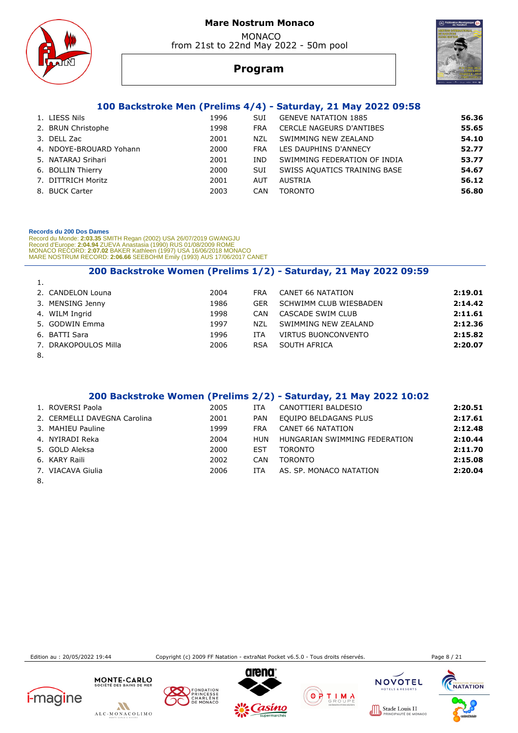MONACO from 21st to 22nd May 2022 - 50m pool





# **Program**

# **100 Backstroke Men (Prelims 4/4) - Saturday, 21 May 2022 09:58**

| 1. LIESS Nils           | 1996 | <b>SUI</b> | <b>GENEVE NATATION 1885</b>     | 56.36 |
|-------------------------|------|------------|---------------------------------|-------|
| 2. BRUN Christophe      | 1998 | <b>FRA</b> | <b>CERCLE NAGEURS D'ANTIBES</b> | 55.65 |
| 3. DELL Zac             | 2001 | NZL        | SWIMMING NEW ZEALAND            | 54.10 |
| 4. NDOYE-BROUARD Yohann | 2000 | <b>FRA</b> | LES DAUPHINS D'ANNECY           | 52.77 |
| 5. NATARAJ Srihari      | 2001 | IND.       | SWIMMING FEDERATION OF INDIA    | 53.77 |
| 6. BOLLIN Thierry       | 2000 | <b>SUI</b> | SWISS AQUATICS TRAINING BASE    | 54.67 |
| 7. DITTRICH Moritz      | 2001 | AUT        | AUSTRIA                         | 56.12 |
| 8. BUCK Carter          | 2003 | CAN        | <b>TORONTO</b>                  | 56.80 |

 **Records du 200 Dos Dames** 

Record du Monde: **2:03.35** SMITH Regan (2002) USA 26/07/2019 GWANGJU<br>Record d'Europe: 2**:04.94 ZUEVA Anastasia (1990) RUS** 01/08/2009 ROME<br>MONACO RECORD: **2:07.02** BAKER Kathleen (1997) USA 16/06/2018 MONACO<br>MARE NOSTRUM R

 **200 Backstroke Women (Prelims 1/2) - Saturday, 21 May 2022 09:59** 

| 1.                   |      |            |                        |         |
|----------------------|------|------------|------------------------|---------|
| 2. CANDELON Louna    | 2004 | <b>FRA</b> | CANET 66 NATATION      | 2:19.01 |
| 3. MENSING Jenny     | 1986 | <b>GER</b> | SCHWIMM CLUB WIESBADEN | 2:14.42 |
| 4. WILM Ingrid       | 1998 | CAN        | CASCADE SWIM CLUB      | 2:11.61 |
| 5. GODWIN Emma       | 1997 | <b>NZL</b> | SWIMMING NEW ZEALAND   | 2:12.36 |
| 6. BATTI Sara        | 1996 | ITA        | VIRTUS BUONCONVENTO    | 2:15.82 |
| 7. DRAKOPOULOS Milla | 2006 | <b>RSA</b> | SOUTH AFRICA           | 2:20.07 |
| -8.                  |      |            |                        |         |

#### **200 Backstroke Women (Prelims 2/2) - Saturday, 21 May 2022 10:02**

| 1. ROVERSI Paola             | 2005 | ITA        | CANOTTIERI BALDESIO           | 2:20.51 |
|------------------------------|------|------------|-------------------------------|---------|
| 2. CERMELLI DAVEGNA Carolina | 2001 | <b>PAN</b> | EQUIPO BELDAGANS PLUS         | 2:17.61 |
| 3. MAHIEU Pauline            | 1999 | <b>FRA</b> | <b>CANET 66 NATATION</b>      | 2:12.48 |
| 4. NYIRADI Reka              | 2004 | <b>HUN</b> | HUNGARIAN SWIMMING FEDERATION | 2:10.44 |
| 5. GOLD Aleksa               | 2000 | <b>EST</b> | <b>TORONTO</b>                | 2:11.70 |
| 6. KARY Raili                | 2002 | CAN        | <b>TORONTO</b>                | 2:15.08 |
| 7. VIACAVA Giulia            | 2006 | ITA        | AS. SP. MONACO NATATION       | 2:20.04 |
|                              |      |            |                               |         |

8.

Edition au : 20/05/2022 19:44 Copyright (c) 2009 FF Natation - extraNat Pocket v6.5.0 - Tous droits réservés. Page 8 / 21

 $0000$ 





MONTE . CARLO







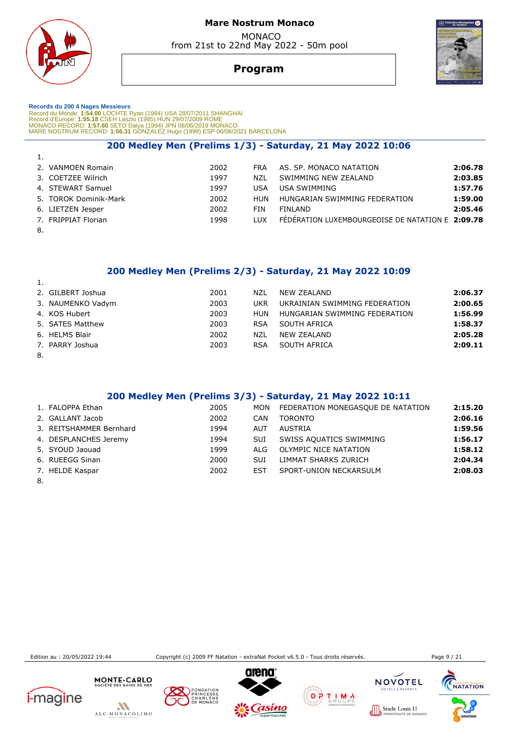MONACO from 21st to 22nd May 2022 - 50m pool

# M

# **Program**



 **Records du 200 4 Nages Messieurs**  Record du Monde: **1:54.00** LOCHTE Ryan (1984) USA 28/07/2011 SHANGHAI<br>Record d'Europe: 1**:55.18** CSEH Laszlo (1985) HUN 29/07/2009 ROME<br>MONACO RECORD: 1:**57.60** SETO Daiya (1994) JPN 08/06/2019 MONACO<br>MARE NOSTRUM RECORD:

#### **200 Medley Men (Prelims 1/3) - Saturday, 21 May 2022 10:06**

| 1.     |                       |      |            |                                                  |         |
|--------|-----------------------|------|------------|--------------------------------------------------|---------|
|        | 2. VANMOEN Romain     | 2002 | <b>FRA</b> | AS. SP. MONACO NATATION                          | 2:06.78 |
|        | 3. COETZEE Wilrich    | 1997 | N71        | SWIMMING NEW ZEALAND                             | 2:03.85 |
|        | 4. STEWART Samuel     | 1997 | USA        | <b>USA SWIMMING</b>                              | 1:57.76 |
|        | 5. TOROK Dominik-Mark | 2002 | HUN        | HUNGARIAN SWIMMING FEDERATION                    | 1:59.00 |
|        | 6. LIETZEN Jesper     | 2002 | <b>FIN</b> | FINLAND                                          | 2:05.46 |
|        | 7. FRIPPIAT Florian   | 1998 | <b>LUX</b> | FÉDÉRATION LUXEMBOURGEOISE DE NATATION E 2:09.78 |         |
| $\sim$ |                       |      |            |                                                  |         |

8.

#### **200 Medley Men (Prelims 2/3) - Saturday, 21 May 2022 10:09**

|    | 2. GILBERT Joshua | 2001 | NZL        | NEW ZEALAND                   | 2:06.37 |
|----|-------------------|------|------------|-------------------------------|---------|
|    | 3. NAUMENKO Vadym | 2003 | <b>UKR</b> | UKRAINIAN SWIMMING FEDERATION | 2:00.65 |
|    | 4. KOS Hubert     | 2003 | <b>HUN</b> | HUNGARIAN SWIMMING FEDERATION | 1:56.99 |
|    | 5. SATES Matthew  | 2003 | <b>RSA</b> | SOUTH AFRICA                  | 1:58.37 |
|    | 6. HELMS Blair    | 2002 | NZL        | NEW ZEALAND                   | 2:05.28 |
|    | 7. PARRY Joshua   | 2003 | <b>RSA</b> | SOUTH AFRICA                  | 2:09.11 |
| 8. |                   |      |            |                               |         |

#### **200 Medley Men (Prelims 3/3) - Saturday, 21 May 2022 10:11**

|        | 1. FALOPPA Ethan        | 2005 | MON        | FEDERATION MONEGASQUE DE NATATION | 2:15.20 |
|--------|-------------------------|------|------------|-----------------------------------|---------|
|        | 2. GALLANT Jacob        | 2002 | CAN        | <b>TORONTO</b>                    | 2:06.16 |
|        | 3. REITSHAMMER Bernhard | 1994 | <b>AUT</b> | AUSTRIA                           | 1:59.56 |
|        | 4. DESPLANCHES Jeremy   | 1994 | <b>SUI</b> | SWISS AQUATICS SWIMMING           | 1:56.17 |
|        | 5. SYOUD Jaouad         | 1999 | AI G       | OLYMPIC NICE NATATION             | 1:58.12 |
|        | 6. RUEEGG Sinan         | 2000 | <b>SUI</b> | LIMMAT SHARKS ZURICH              | 2:04.34 |
|        | 7. HELDE Kaspar         | 2002 | EST        | SPORT-UNION NECKARSULM            | 2:08.03 |
| $\sim$ |                         |      |            |                                   |         |

8.

Edition au : 20/05/2022 19:44 Copyright (c) 2009 FF Natation - extraNat Pocket v6.5.0 - Tous droits réservés. Page 9 / 21















 $0000$ 

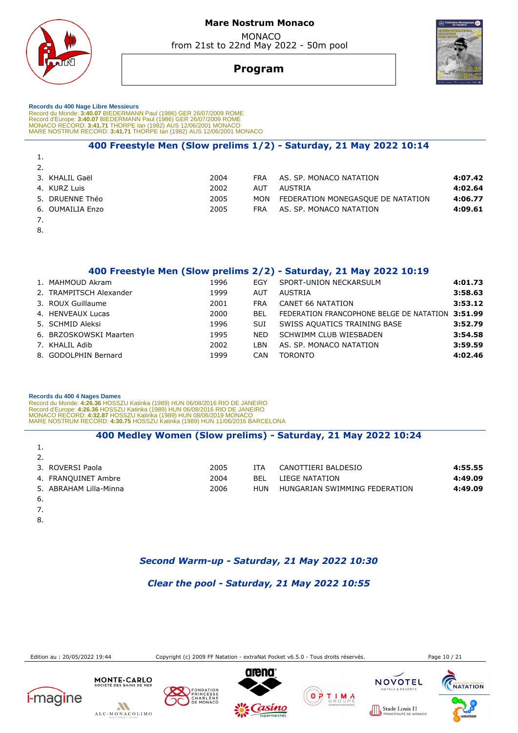MONACO from 21st to 22nd May 2022 - 50m pool



# **Program**

 **Records du 400 Nage Libre Messieurs**  Record du Monde: 3**:40.07** BIEDERMANN Paul (1986) GER 26/07/2009 ROME<br>Record d'Europe: 3**:40.07** BIEDERMANN Paul (1986) GER 26/07/2009 ROME<br>MONACO RECORD: 3**:41.71** THORPE lan (1982) AUS 12/06/2001 MONACO<br>MARE NOSTRUM RECO

#### **400 Freestyle Men (Slow prelims 1/2) - Saturday, 21 May 2022 10:14**

| 2.               |      |            |                                   |         |
|------------------|------|------------|-----------------------------------|---------|
| 3. KHALIL Gaël   | 2004 | <b>FRA</b> | AS. SP. MONACO NATATION           | 4:07.42 |
| 4. KURZ Luis     | 2002 | AUT        | AUSTRIA                           | 4:02.64 |
| 5. DRUENNE Théo  | 2005 | MON        | FEDERATION MONEGASQUE DE NATATION | 4:06.77 |
| 6. OUMAILIA Enzo | 2005 | <b>FRA</b> | AS. SP. MONACO NATATION           | 4:09.61 |
|                  |      |            |                                   |         |

8.

1.

# **400 Freestyle Men (Slow prelims 2/2) - Saturday, 21 May 2022 10:19**

| 1. MAHMOUD Akram        | 1996 | EGY        | SPORT-UNION NECKARSULM                           | 4:01.73 |
|-------------------------|------|------------|--------------------------------------------------|---------|
| 2. TRAMPITSCH Alexander | 1999 | AUT        | AUSTRIA                                          | 3:58.63 |
| 3. ROUX Guillaume       | 2001 | <b>FRA</b> | <b>CANET 66 NATATION</b>                         | 3:53.12 |
| 4. HENVEAUX Lucas       | 2000 | <b>BEL</b> | FEDERATION FRANCOPHONE BELGE DE NATATION 3:51.99 |         |
| 5. SCHMID Aleksi        | 1996 | SUI        | SWISS AQUATICS TRAINING BASE                     | 3:52.79 |
| 6. BRZOSKOWSKI Maarten  | 1995 | <b>NED</b> | SCHWIMM CLUB WIESBADEN                           | 3:54.58 |
| 7. KHALIL Adib          | 2002 | LBN        | AS. SP. MONACO NATATION                          | 3:59.59 |
| 8. GODOLPHIN Bernard    | 1999 | CAN        | <b>TORONTO</b>                                   | 4:02.46 |
|                         |      |            |                                                  |         |

 **Records du 400 4 Nages Dames** 

Record du Monde: 4**:26.36** HOSSZU Katinka (1989) HUN 06/08/2016 RIO DE JANEIRO<br>Record d'Europe: 4**:26.36** HOSSZU Katinka (1989) HUN 06/08/2016 RIO DE JANEIRO<br>MONACO RECORD: 4**:32.87** HOSSZU Katinka (1989) HUN 08/06/2019 MO

#### **400 Medley Women (Slow prelims) - Saturday, 21 May 2022 10:24**

| 1.                     |      |            |                               |         |
|------------------------|------|------------|-------------------------------|---------|
| 2.                     |      |            |                               |         |
| 3. ROVERSI Paola       | 2005 | ITA        | CANOTTIERI BALDESIO           | 4:55.55 |
| 4. FRANQUINET Ambre    | 2004 | <b>BEL</b> | LIEGE NATATION                | 4:49.09 |
| 5. ABRAHAM Lilla-Minna | 2006 | HUN        | HUNGARIAN SWIMMING FEDERATION | 4:49.09 |
| -6.                    |      |            |                               |         |
|                        |      |            |                               |         |

8.

# *Second Warm-up - Saturday, 21 May 2022 10:30*

 *Clear the pool - Saturday, 21 May 2022 10:55* 

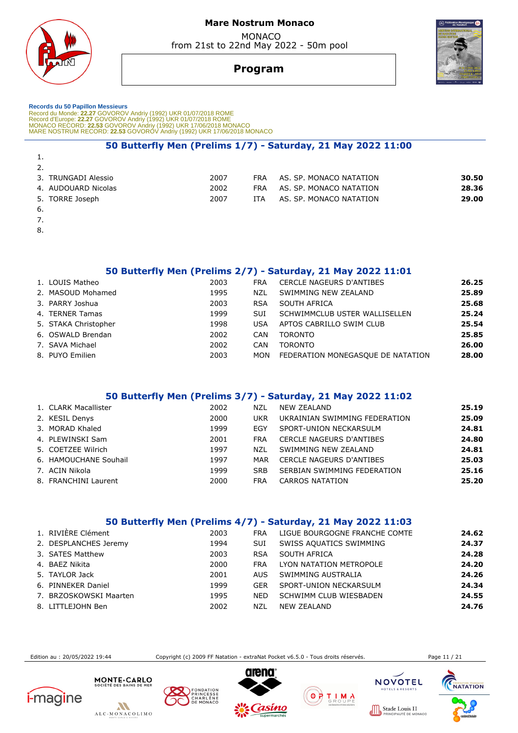MONACO from 21st to 22nd May 2022 - 50m pool



# **Program**

 **Records du 50 Papillon Messieurs**  Record du Monde: 22.27 GOVOROV Andriy (1992) UKR 01/07/2018 ROME<br>Record d'Europe: 22.27 GOVOROV Andriy (1992) UKR 01/07/2018 ROME<br>MONACO RECORD: 22.53 GOVOROV Andriy (1992) UKR 17/06/2018 MONACO<br>MARE NOSTRUM RECORD: 22.53

#### **50 Butterfly Men (Prelims 1/7) - Saturday, 21 May 2022 11:00**

| 2.  |                     |      |            |                         |       |
|-----|---------------------|------|------------|-------------------------|-------|
|     | 3. TRUNGADI Alessio | 2007 | <b>FRA</b> | AS. SP. MONACO NATATION | 30.50 |
|     | 4. AUDOUARD Nicolas | 2002 | FRA.       | AS. SP. MONACO NATATION | 28.36 |
|     | 5. TORRE Joseph     | 2007 | TTA.       | AS. SP. MONACO NATATION | 29.00 |
| -6. |                     |      |            |                         |       |

7.

1.

8.

#### **50 Butterfly Men (Prelims 2/7) - Saturday, 21 May 2022 11:01**

| 1. LOUIS Matheo      | 2003 | <b>FRA</b> | <b>CERCLE NAGEURS D'ANTIBES</b>   | 26.25 |
|----------------------|------|------------|-----------------------------------|-------|
| 2. MASOUD Mohamed    | 1995 | NZL        | SWIMMING NEW ZEALAND              | 25.89 |
| 3. PARRY Joshua      | 2003 | <b>RSA</b> | SOUTH AFRICA                      | 25.68 |
| 4. TERNER Tamas      | 1999 | <b>SUL</b> | SCHWIMMCLUB USTER WALLISELLEN     | 25.24 |
| 5. STAKA Christopher | 1998 | <b>USA</b> | APTOS CABRILLO SWIM CLUB          | 25.54 |
| 6. OSWALD Brendan    | 2002 | CAN        | <b>TORONTO</b>                    | 25.85 |
| 7. SAVA Michael      | 2002 | CAN        | <b>TORONTO</b>                    | 26.00 |
| 8. PUYO Emilien      | 2003 | MON        | FEDERATION MONEGASQUE DE NATATION | 28.00 |

#### **50 Butterfly Men (Prelims 3/7) - Saturday, 21 May 2022 11:02**

| 1. CLARK Macallister  | 2002 | NZL        | NEW ZEALAND                     | 25.19 |
|-----------------------|------|------------|---------------------------------|-------|
| 2. KESIL Denys        | 2000 | <b>UKR</b> | UKRAINIAN SWIMMING FEDERATION   | 25.09 |
| 3. MORAD Khaled       | 1999 | EGY        | SPORT-UNION NECKARSULM          | 24.81 |
| 4. PLEWINSKI Sam      | 2001 | <b>FRA</b> | <b>CERCLE NAGEURS D'ANTIBES</b> | 24.80 |
| 5. COETZEE Wilrich    | 1997 | NZL        | SWIMMING NEW ZEALAND            | 24.81 |
| 6. HAMOUCHANE Souhail | 1997 | MAR        | CERCLE NAGEURS D'ANTIBES        | 25.03 |
| 7. ACIN Nikola        | 1999 | <b>SRB</b> | SERBIAN SWIMMING FEDERATION     | 25.16 |
| 8. FRANCHINI Laurent  | 2000 | FRA        | CARROS NATATION                 | 25.20 |

### **50 Butterfly Men (Prelims 4/7) - Saturday, 21 May 2022 11:03**

| 1. RIVIÈRE Clément     | 2003 | <b>FRA</b> | LIGUE BOURGOGNE FRANCHE COMTE | 24.62 |
|------------------------|------|------------|-------------------------------|-------|
| 2. DESPLANCHES Jeremy  | 1994 | SUI        | SWISS AQUATICS SWIMMING       | 24.37 |
| 3. SATES Matthew       | 2003 | <b>RSA</b> | SOUTH AFRICA                  | 24.28 |
| 4. BAEZ Nikita         | 2000 | <b>FRA</b> | LYON NATATION METROPOLE       | 24.20 |
| 5. TAYLOR Jack         | 2001 | AUS.       | SWIMMING AUSTRALIA            | 24.26 |
| 6. PINNEKER Daniel     | 1999 | <b>GFR</b> | SPORT-UNION NECKARSULM        | 24.34 |
| 7. BRZOSKOWSKI Maarten | 1995 | <b>NED</b> | SCHWIMM CLUB WIESBADEN        | 24.55 |
| 8. LITTLEJOHN Ben      | 2002 | NZL        | NEW ZEALAND                   | 24.76 |

Edition au : 20/05/2022 19:44 Copyright (c) 2009 FF Natation - extraNat Pocket v6.5.0 - Tous droits réservés. Page 11 / 21











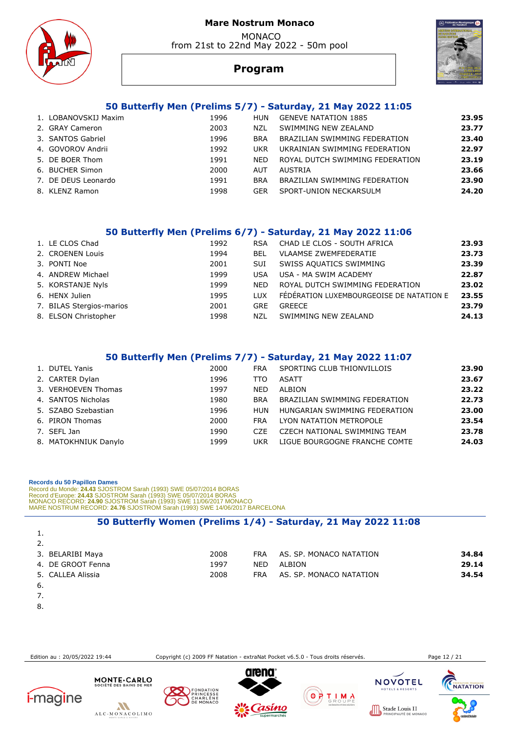

 MONACO from 21st to 22nd May 2022 - 50m pool



# **Program**

#### **50 Butterfly Men (Prelims 5/7) - Saturday, 21 May 2022 11:05**

| 1. LOBANOVSKIJ Maxim | 1996 | <b>HUN</b> | <b>GENEVE NATATION 1885</b>     | 23.95 |
|----------------------|------|------------|---------------------------------|-------|
| 2. GRAY Cameron      | 2003 | NZL        | SWIMMING NEW ZEALAND            | 23.77 |
| 3. SANTOS Gabriel    | 1996 | <b>BRA</b> | BRAZILIAN SWIMMING FEDERATION   | 23.40 |
| 4. GOVOROV Andrii    | 1992 | UKR        | UKRAINIAN SWIMMING FEDERATION   | 22.97 |
| 5. DE BOER Thom      | 1991 | <b>NFD</b> | ROYAL DUTCH SWIMMING FEDERATION | 23.19 |
| 6. BUCHER Simon      | 2000 | AUT        | AUSTRIA                         | 23.66 |
| 7. DE DEUS Leonardo  | 1991 | <b>BRA</b> | BRAZILIAN SWIMMING FEDERATION   | 23.90 |
| 8. KLENZ Ramon       | 1998 | <b>GFR</b> | SPORT-UNION NECKARSULM          | 24.20 |

#### **50 Butterfly Men (Prelims 6/7) - Saturday, 21 May 2022 11:06**

| 1. LE CLOS Chad          | 1992 | <b>RSA</b> | CHAD LE CLOS - SOUTH AFRICA              | 23.93 |
|--------------------------|------|------------|------------------------------------------|-------|
| 2. CROENEN Louis         | 1994 | BEL        | <b>VLAAMSE ZWEMFEDERATIE</b>             | 23.73 |
| 3. PONTI Noe             | 2001 | SUI        | SWISS AQUATICS SWIMMING                  | 23.39 |
| 4. ANDREW Michael        | 1999 | <b>USA</b> | USA - MA SWIM ACADEMY                    | 22.87 |
| 5. KORSTANJE Nyls        | 1999 | <b>NFD</b> | ROYAL DUTCH SWIMMING FEDERATION          | 23.02 |
| 6. HENX Julien           | 1995 | <b>LUX</b> | FÉDÉRATION LUXEMBOURGEOISE DE NATATION E | 23.55 |
| 7. BILAS Stergios-marios | 2001 | <b>GRE</b> | <b>GREECE</b>                            | 23.79 |
| 8. ELSON Christopher     | 1998 | NZL        | SWIMMING NEW ZEALAND                     | 24.13 |

#### **50 Butterfly Men (Prelims 7/7) - Saturday, 21 May 2022 11:07**

| 1. DUTEL Yanis       | 2000 | <b>FRA</b> | SPORTING CLUB THIONVILLOIS    | 23.90 |
|----------------------|------|------------|-------------------------------|-------|
| 2. CARTER Dylan      | 1996 | TTO        | <b>ASATT</b>                  | 23.67 |
| 3. VERHOEVEN Thomas  | 1997 | <b>NED</b> | ALBION                        | 23.22 |
| 4. SANTOS Nicholas   | 1980 | <b>BRA</b> | BRAZILIAN SWIMMING FEDERATION | 22.73 |
| 5. SZABO Szebastian  | 1996 | HUN        | HUNGARIAN SWIMMING FEDERATION | 23.00 |
| 6. PIRON Thomas      | 2000 | <b>FRA</b> | LYON NATATION METROPOLE       | 23.54 |
| 7. SEFL Jan          | 1990 | CZE        | CZECH NATIONAL SWIMMING TEAM  | 23.78 |
| 8. MATOKHNIUK Danylo | 1999 | UKR        | LIGUE BOURGOGNE FRANCHE COMTE | 24.03 |

#### **Records du 50 Papillon Dames**

Record du Monde: **24.43** SJOSTROM Sarah (1993) SWE 05/07/2014 BORAS<br>Record d'Europe: 2**4.43** SJOSTROM Sarah (1993) SWE 05/07/2014 BORAS<br>MONACO RECORD: **24.90** SJOSTROM Sarah (1993) SWE 11/06/2017 MONACO<br>MARE NOSTRUM RECORD

# **50 Butterfly Women (Prelims 1/4) - Saturday, 21 May 2022 11:08**  3. BELARIBI Maya 2008 FRA AS. SP. MONACO NATATION **34.84** 4. DE GROOT Fenna 1997 NED ALBION **29.14**

5. CALLEA Alissia 2008 FRA AS. SP. MONACO NATATION **34.54**

- 6.
- 7.

1. 2.

8.

Edition au : 20/05/2022 19:44 Copyright (c) 2009 FF Natation - extraNat Pocket v6.5.0 - Tous droits réservés. Page 12 / 21





**MONTE·CARLO**<br>SOCIÉTÉ DES BAINS DE MER









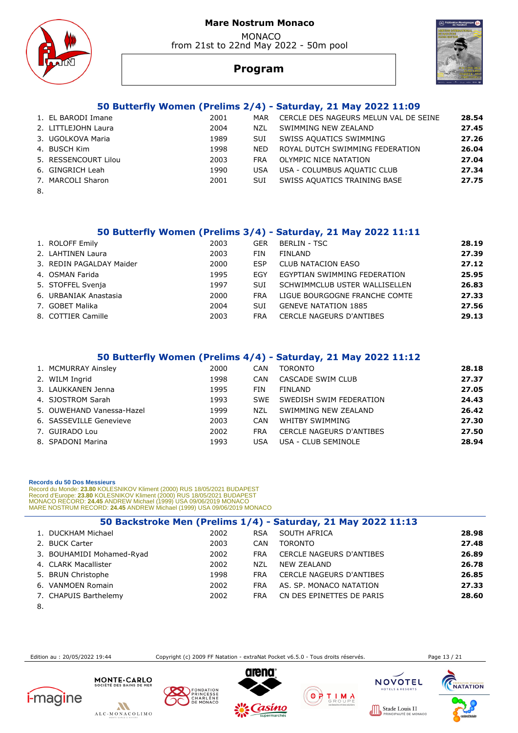MONACO from 21st to 22nd May 2022 - 50m pool





# **Program**

## **50 Butterfly Women (Prelims 2/4) - Saturday, 21 May 2022 11:09**

|        | 1. EL BARODI Imane   | 2001 | MAR        | CERCLE DES NAGEURS MELUN VAL DE SEINE | 28.54 |
|--------|----------------------|------|------------|---------------------------------------|-------|
|        | 2. LITTLEJOHN Laura  | 2004 | NZL        | SWIMMING NEW ZEALAND                  | 27.45 |
|        | 3. UGOLKOVA Maria    | 1989 | <b>SUI</b> | SWISS AQUATICS SWIMMING               | 27.26 |
|        | 4. BUSCH Kim         | 1998 | <b>NED</b> | ROYAL DUTCH SWIMMING FEDERATION       | 26.04 |
|        | 5. RESSENCOURT Lilou | 2003 | <b>FRA</b> | OLYMPIC NICE NATATION                 | 27.04 |
|        | 6. GINGRICH Leah     | 1990 | <b>USA</b> | USA - COLUMBUS AQUATIC CLUB           | 27.34 |
|        | 7. MARCOLI Sharon    | 2001 | SUI        | SWISS AQUATICS TRAINING BASE          | 27.75 |
| $\sim$ |                      |      |            |                                       |       |

8.

|                          |      |            | 50 Butterfly Women (Prelims 3/4) - Saturday, 21 May 2022 11:11 |       |
|--------------------------|------|------------|----------------------------------------------------------------|-------|
| 1. ROLOFF Emily          | 2003 | GER        | <b>BERLIN - TSC</b>                                            | 28.19 |
| 2. LAHTINEN Laura        | 2003 | FIN        | FINLAND                                                        | 27.39 |
| 3. REDIN PAGALDAY Maider | 2000 | <b>ESP</b> | CLUB NATACION EASO                                             | 27.12 |
| 4. OSMAN Farida          | 1995 | EGY        | EGYPTIAN SWIMMING FEDERATION                                   | 25.95 |
| 5. STOFFEL Svenja        | 1997 | <b>SUI</b> | SCHWIMMCLUB USTER WALLISELLEN                                  | 26.83 |
| 6. URBANIAK Anastasia    | 2000 | FRA        | LIGUE BOURGOGNE FRANCHE COMTE                                  | 27.33 |
| 7. GOBET Malika          | 2004 | <b>SUI</b> | <b>GENEVE NATATION 1885</b>                                    | 27.56 |
| 8. COTTIER Camille       | 2003 | <b>FRA</b> | <b>CERCLE NAGEURS D'ANTIBES</b>                                | 29.13 |

#### **50 Butterfly Women (Prelims 4/4) - Saturday, 21 May 2022 11:12**

| 1. MCMURRAY Ainsley       | 2000 | CAN        | <b>TORONTO</b>                  | 28.18 |
|---------------------------|------|------------|---------------------------------|-------|
| 2. WILM Ingrid            | 1998 | CAN        | CASCADE SWIM CLUB               | 27.37 |
| 3. LAUKKANEN Jenna        | 1995 | FIN        | FINLAND                         | 27.05 |
| 4. SJOSTROM Sarah         | 1993 | SWE        | SWEDISH SWIM FEDERATION         | 24.43 |
| 5. OUWEHAND Vanessa-Hazel | 1999 | NZL        | SWIMMING NEW ZEALAND            | 26.42 |
| 6. SASSEVILLE Genevieve   | 2003 | <b>CAN</b> | <b>WHITBY SWIMMING</b>          | 27.30 |
| 7. GUIRADO Lou            | 2002 | <b>FRA</b> | <b>CERCLE NAGEURS D'ANTIBES</b> | 27.50 |
| 8. SPADONI Marina         | 1993 | USA        | USA - CLUB SEMINOLE             | 28.94 |
|                           |      |            |                                 |       |

#### **Records du 50 Dos Messieurs**

Record du Monde: 23.80 KOLESNIKOV Kliment (2000) RUS 18/05/2021 BUDAPEST<br>Record d'Europe: 23.80 KOLESNIKOV Kliment (2000) RUS 18/05/2021 BUDAPEST<br>MONACO RECORD: 24.45 ANDREW Michael (1999) USA 09/06/2019 MONACO<br>MARE NOSTRU

|                           |      |            | 50 Backstroke Men (Prelims 1/4) - Saturday, 21 May 2022 11:13 |       |
|---------------------------|------|------------|---------------------------------------------------------------|-------|
| 1. DUCKHAM Michael        | 2002 | <b>RSA</b> | SOUTH AFRICA                                                  | 28.98 |
| 2. BUCK Carter            | 2003 | <b>CAN</b> | <b>TORONTO</b>                                                | 27.48 |
| 3. BOUHAMIDI Mohamed-Ryad | 2002 | <b>FRA</b> | <b>CERCLE NAGEURS D'ANTIBES</b>                               | 26.89 |
| 4. CLARK Macallister      | 2002 | NZL        | NEW ZEALAND                                                   | 26.78 |
| 5. BRUN Christophe        | 1998 | <b>FRA</b> | <b>CERCLE NAGEURS D'ANTIBES</b>                               | 26.85 |
| 6. VANMOEN Romain         | 2002 | <b>FRA</b> | AS. SP. MONACO NATATION                                       | 27.33 |
| 7. CHAPUIS Barthelemy     | 2002 | <b>FRA</b> | CN DES EPINETTES DE PARIS                                     | 28.60 |
|                           |      |            |                                                               |       |

8.

Edition au : 20/05/2022 19:44 Copyright (c) 2009 FF Natation - extraNat Pocket v6.5.0 - Tous droits réservés. Page 13 / 21









TELS & RESO

**NACC** 

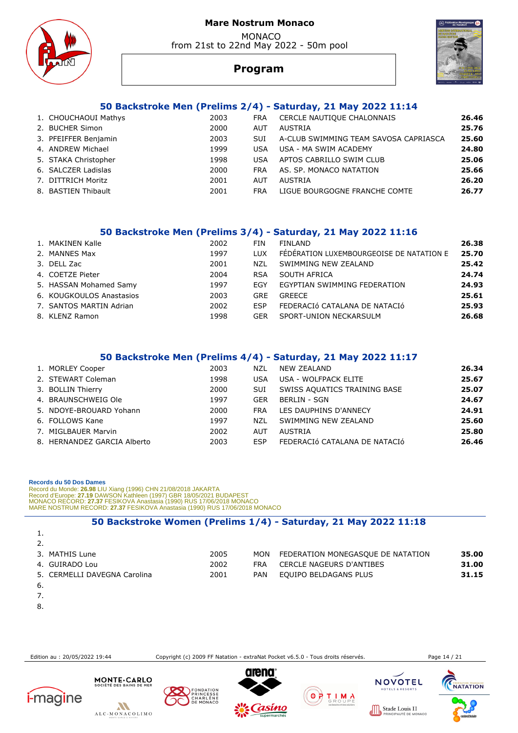





# **Program**

## **50 Backstroke Men (Prelims 2/4) - Saturday, 21 May 2022 11:14**

| 1. CHOUCHAOUI Mathys | 2003 | <b>FRA</b> | CERCLE NAUTIQUE CHALONNAIS            | 26.46 |
|----------------------|------|------------|---------------------------------------|-------|
| 2. BUCHER Simon      | 2000 | AUT        | AUSTRIA                               | 25.76 |
| 3. PFEIFFER Benjamin | 2003 | <b>SUI</b> | A-CLUB SWIMMING TEAM SAVOSA CAPRIASCA | 25.60 |
| 4. ANDREW Michael    | 1999 | <b>USA</b> | USA - MA SWIM ACADEMY                 | 24.80 |
| 5. STAKA Christopher | 1998 | <b>USA</b> | APTOS CABRILLO SWIM CLUB              | 25.06 |
| 6. SALCZER Ladislas  | 2000 | <b>FRA</b> | AS. SP. MONACO NATATION               | 25.66 |
| 7. DITTRICH Moritz   | 2001 | AUT        | AUSTRIA                               | 26.20 |
| 8. BASTIEN Thibault  | 2001 | <b>FRA</b> | LIGUE BOURGOGNE FRANCHE COMTE         | 26.77 |
|                      |      |            |                                       |       |

#### **50 Backstroke Men (Prelims 3/4) - Saturday, 21 May 2022 11:16**

| 1. MAKINEN Kalle         | 2002 | FIN        | FINLAND                                  | 26.38 |
|--------------------------|------|------------|------------------------------------------|-------|
| 2. MANNES Max            | 1997 | <b>LUX</b> | FÉDÉRATION LUXEMBOURGEOISE DE NATATION E | 25.70 |
| 3. DELL Zac              | 2001 | NZL        | SWIMMING NEW ZEALAND                     | 25.42 |
| 4. COETZE Pieter         | 2004 | <b>RSA</b> | SOUTH AFRICA                             | 24.74 |
| 5. HASSAN Mohamed Samy   | 1997 | EGY        | EGYPTIAN SWIMMING FEDERATION             | 24.93 |
| 6. KOUGKOULOS Anastasios | 2003 | <b>GRE</b> | <b>GREECE</b>                            | 25.61 |
| 7. SANTOS MARTIN Adrian  | 2002 | <b>FSP</b> | FEDERACIÓ CATALANA DE NATACIÓ            | 25.93 |
| 8. KLENZ Ramon           | 1998 | <b>GER</b> | SPORT-UNION NECKARSULM                   | 26.68 |

#### **50 Backstroke Men (Prelims 4/4) - Saturday, 21 May 2022 11:17**

| 1. MORLEY Cooper            | 2003 | NZL        | NEW ZEALAND                   | 26.34 |
|-----------------------------|------|------------|-------------------------------|-------|
| 2. STEWART Coleman          | 1998 | <b>USA</b> | USA - WOLFPACK ELITE          | 25.67 |
| 3. BOLLIN Thierry           | 2000 | <b>SUI</b> | SWISS AQUATICS TRAINING BASE  | 25.07 |
| 4. BRAUNSCHWEIG Ole         | 1997 | <b>GER</b> | <b>BERLIN - SGN</b>           | 24.67 |
| 5. NDOYE-BROUARD Yohann     | 2000 | <b>FRA</b> | LES DAUPHINS D'ANNECY         | 24.91 |
| 6. FOLLOWS Kane             | 1997 | N71        | SWIMMING NEW ZEALAND          | 25.60 |
| 7. MIGLBAUER Marvin         | 2002 | <b>AUT</b> | AUSTRIA                       | 25.80 |
| 8. HERNANDEZ GARCIA Alberto | 2003 | <b>FSP</b> | FEDERACIÓ CATALANA DE NATACIÓ | 26.46 |

#### **Records du 50 Dos Dames**

Record du Monde: **26.98** LIU Xiang (1996) CHN 21/08/2018 JAKARTA<br>Record d'Europe: **27.19 DAWSON Kathleen (1997) GBR 18/05/2021 BUDAPEST<br>MONACO RECORD: <b>27.37 FESIKOVA Anastasia (1990) RUS 17/06/2018 MONACO**<br>MARE NOSTRUM RE

#### **50 Backstroke Women (Prelims 1/4) - Saturday, 21 May 2022 11:18**

| 1.                           |      |            |                                   |       |
|------------------------------|------|------------|-----------------------------------|-------|
| 2.                           |      |            |                                   |       |
| 3. MATHIS Lune               | 2005 | MON        | FEDERATION MONEGASQUE DE NATATION | 35.00 |
| 4. GUIRADO Lou               | 2002 | <b>FRA</b> | <b>CERCLE NAGEURS D'ANTIBES</b>   | 31.00 |
| 5. CERMELLI DAVEGNA Carolina | 2001 | <b>PAN</b> | EQUIPO BELDAGANS PLUS             | 31.15 |
| -6.                          |      |            |                                   |       |
|                              |      |            |                                   |       |

- 8.
- 

Edition au : 20/05/2022 19:44 Copyright (c) 2009 FF Natation - extraNat Pocket v6.5.0 - Tous droits réservés. Page 14 / 21











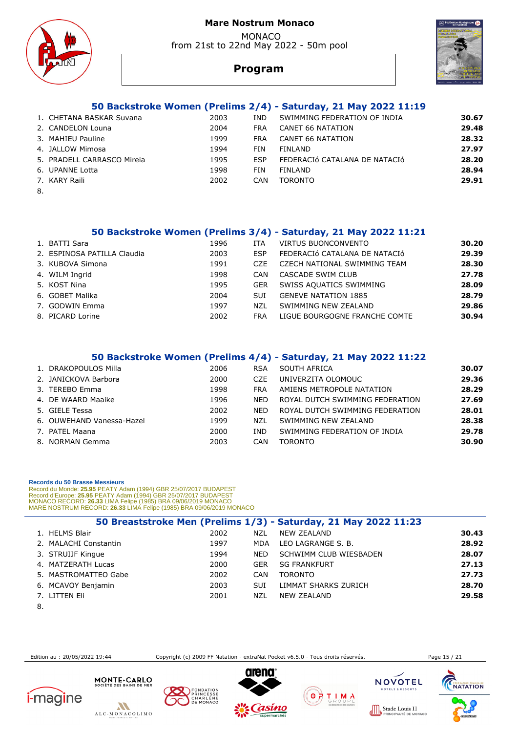**Mare Nostrum Monaco**  MONACO

from 21st to 22nd May 2022 - 50m pool



# **Program**

# **50 Backstroke Women (Prelims 2/4) - Saturday, 21 May 2022 11:19**

|        | 1. CHETANA BASKAR Suvana   | 2003 | IND        | SWIMMING FEDERATION OF INDIA  | 30.67 |
|--------|----------------------------|------|------------|-------------------------------|-------|
|        | 2. CANDELON Louna          | 2004 | FRA        | <b>CANET 66 NATATION</b>      | 29.48 |
|        | 3. MAHIEU Pauline          | 1999 | <b>FRA</b> | <b>CANET 66 NATATION</b>      | 28.32 |
|        | 4. JALLOW Mimosa           | 1994 | <b>FIN</b> | FINLAND                       | 27.97 |
|        | 5. PRADELL CARRASCO Mireia | 1995 | <b>FSP</b> | FEDERACIÓ CATALANA DE NATACIÓ | 28.20 |
|        | 6. UPANNE Lotta            | 1998 | <b>FIN</b> | FINLAND                       | 28.94 |
|        | 7. KARY Raili              | 2002 | CAN        | <b>TORONTO</b>                | 29.91 |
| $\sim$ |                            |      |            |                               |       |

8.

 $\Omega$ 

|                             |      |            | 50 Backstroke Women (Prelims 3/4) - Saturday, 21 May 2022 11:21 |       |
|-----------------------------|------|------------|-----------------------------------------------------------------|-------|
| 1. BATTI Sara               | 1996 | ITA        | VIRTUS BUONCONVENTO                                             | 30.20 |
| 2. ESPINOSA PATILLA Claudia | 2003 | <b>ESP</b> | FEDERACIÓ CATALANA DE NATACIÓ                                   | 29.39 |
| 3. KUBOVA Simona            | 1991 | CZE        | CZECH NATIONAL SWIMMING TEAM                                    | 28.30 |
| 4. WILM Ingrid              | 1998 | CAN        | CASCADE SWIM CLUB                                               | 27.78 |
| 5. KOST Nina                | 1995 | <b>GER</b> | SWISS AQUATICS SWIMMING                                         | 28.09 |
| 6. GOBET Malika             | 2004 | <b>SUI</b> | <b>GENEVE NATATION 1885</b>                                     | 28.79 |
| 7. GODWIN Emma              | 1997 | <b>NZL</b> | SWIMMING NEW ZEALAND                                            | 29.86 |
| 8. PICARD Lorine            | 2002 | <b>FRA</b> | LIGUE BOURGOGNE FRANCHE COMTE                                   | 30.94 |

|                           |      |            | 50 Backstroke Women (Prelims 4/4) - Saturday, 21 May 2022 11:22 |       |
|---------------------------|------|------------|-----------------------------------------------------------------|-------|
| 1. DRAKOPOULOS Milla      | 2006 | <b>RSA</b> | SOUTH AFRICA                                                    | 30.07 |
| 2. JANICKOVA Barbora      | 2000 | CZE.       | UNIVERZITA OLOMOUC                                              | 29.36 |
| 3. TEREBO Emma            | 1998 | <b>FRA</b> | AMIENS METROPOLE NATATION                                       | 28.29 |
| 4. DE WAARD Maaike        | 1996 | <b>NED</b> | ROYAL DUTCH SWIMMING FEDERATION                                 | 27.69 |
| 5. GIELE Tessa            | 2002 | <b>NFD</b> | ROYAL DUTCH SWIMMING FEDERATION                                 | 28.01 |
| 6. OUWEHAND Vanessa-Hazel | 1999 | <b>NZL</b> | SWIMMING NEW ZEALAND                                            | 28.38 |
| 7. PATEL Maana            | 2000 | IND.       | SWIMMING FEDERATION OF INDIA                                    | 29.78 |
| 8. NORMAN Gemma           | 2003 | CAN        | <b>TORONTO</b>                                                  | 30.90 |

#### **Records du 50 Brasse Messieurs**

Record du Monde: 25.95 PEATY Adam (1994) GBR 25/07/2017 BUDAPEST<br>Record d'Europe: 25.95 PEATY Adam (1994) GBR 25/07/2017 BUDAPEST<br>MONACO RECORD: 26.33 LIMA Felipe (1985) BRA 09/06/2019 MONACO<br>MARE NOSTRUM RECORD: 26.33 LIM

|                       |      |            | 50 Breaststroke Men (Prelims 1/3) - Saturday, 21 May 2022 11:23 |       |
|-----------------------|------|------------|-----------------------------------------------------------------|-------|
| 1. HELMS Blair        | 2002 | NZL        | NEW ZEALAND                                                     | 30.43 |
| 2. MALACHI Constantin | 1997 | MDA        | LEO LAGRANGE S. B.                                              | 28.92 |
| 3. STRUIJF Kingue     | 1994 | <b>NED</b> | SCHWIMM CLUB WIESBADEN                                          | 28.07 |
| 4. MATZERATH Lucas    | 2000 | <b>GER</b> | <b>SG FRANKFURT</b>                                             | 27.13 |
| 5. MASTROMATTEO Gabe  | 2002 | CAN        | <b>TORONTO</b>                                                  | 27.73 |
| 6. MCAVOY Benjamin    | 2003 | <b>SUI</b> | LIMMAT SHARKS ZURICH                                            | 28.70 |
| 7. LITTEN Eli         | 2001 | NZL        | <b>NEW ZEALAND</b>                                              | 29.58 |
| $\sim$                |      |            |                                                                 |       |

8.

Edition au : 20/05/2022 19:44 Copyright (c) 2009 FF Natation - extraNat Pocket v6.5.0 - Tous droits réservés. Page 15 / 21













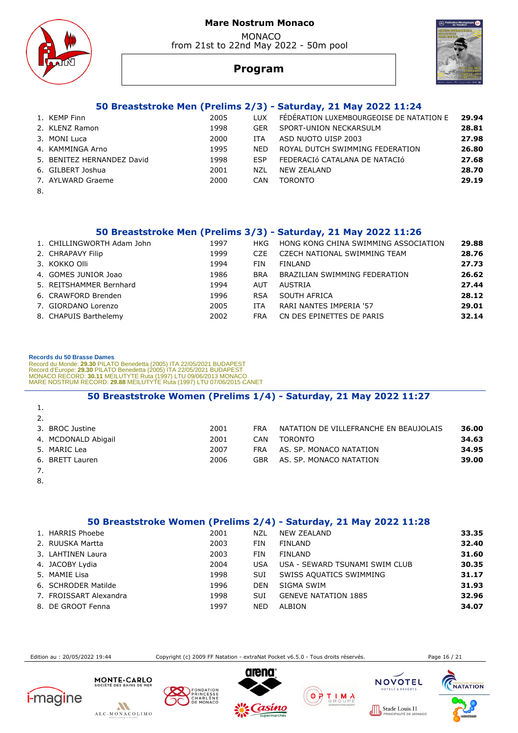MONACO from 21st to 22nd May 2022 - 50m pool





# **Program**

# **50 Breaststroke Men (Prelims 2/3) - Saturday, 21 May 2022 11:24**

|     | 1. KEMP Finn               | 2005 | LUX        | FEDERATION LUXEMBOURGEOISE DE NATATION E | 29.94 |
|-----|----------------------------|------|------------|------------------------------------------|-------|
|     | 2. KLENZ Ramon             | 1998 | <b>GER</b> | SPORT-UNION NECKARSULM                   | 28.81 |
|     | 3. MONI Luca               | 2000 | <b>ITA</b> | ASD NUOTO UISP 2003                      | 27.98 |
|     | 4. KAMMINGA Arno           | 1995 | <b>NED</b> | ROYAL DUTCH SWIMMING FEDERATION          | 26.80 |
|     | 5. BENITEZ HERNANDEZ David | 1998 | <b>FSP</b> | FEDERACIÓ CATALANA DE NATACIÓ            | 27.68 |
|     | 6. GILBERT Joshua          | 2001 | NZL        | NEW ZEALAND                              | 28.70 |
|     | 7. AYLWARD Graeme          | 2000 | CAN        | <b>TORONTO</b>                           | 29.19 |
| ନ୍ଦ |                            |      |            |                                          |       |

8.

#### **50 Breaststroke Men (Prelims 3/3) - Saturday, 21 May 2022 11:26**  1. CHILLINGWORTH Adam John 1997 HKG HONG KONG CHINA SWIMMING ASSOCIATION **29.88**

| $\pm$ . CHELLING IN ON HIT AGGILL JOHN. | . <i>.</i> | .          | יוטווחטעכם טיווייוויוווחט טיוטו טיוטוו | - - - - - |
|-----------------------------------------|------------|------------|----------------------------------------|-----------|
| 2. CHRAPAVY Filip                       | 1999       | CZE.       | CZECH NATIONAL SWIMMING TEAM           | 28.76     |
| 3. KOKKO Olli                           | 1994       | FIN.       | FINLAND                                | 27.73     |
| 4. GOMES JUNIOR Joao                    | 1986       | <b>BRA</b> | BRAZILIAN SWIMMING FEDERATION          | 26.62     |
| 5. REITSHAMMER Bernhard                 | 1994       | AUT        | AUSTRIA                                | 27.44     |
| 6. CRAWFORD Brenden                     | 1996       | <b>RSA</b> | SOUTH AFRICA                           | 28.12     |
| 7. GIORDANO Lorenzo                     | 2005       | ITA        | RARI NANTES IMPERIA '57                | 29.01     |
| 8. CHAPUIS Barthelemy                   | 2002       | <b>FRA</b> | CN DES EPINETTES DE PARIS              | 32.14     |
|                                         |            |            |                                        |           |

#### **Records du 50 Brasse Dames**

Record du Monde: **29.30** PILATO Benedetta (2005) ITA 22/05/2021 BUDAPEST<br>Record d'Europe: 2**9.30 PILATO Benedetta (2005) ITA 22/05/2021 BUDAPEST<br>MONACO RECORD: 3<b>0.**11 MEILUTYTE Ruta (1997) LTU 09/06/2013 MONACO<br>MARE NOSTR

|    | 50 Breaststroke Women (Prelims 1/4) - Saturday, 21 May 2022 11:27 |      |            |                                        |       |  |  |  |  |
|----|-------------------------------------------------------------------|------|------------|----------------------------------------|-------|--|--|--|--|
| 1. |                                                                   |      |            |                                        |       |  |  |  |  |
|    |                                                                   |      |            |                                        |       |  |  |  |  |
|    | 3. BROC Justine                                                   | 2001 | <b>FRA</b> | NATATION DE VILLEFRANCHE EN BEAUJOLAIS | 36.00 |  |  |  |  |
|    | 4. MCDONALD Abigail                                               | 2001 | <b>CAN</b> | <b>TORONTO</b>                         | 34.63 |  |  |  |  |
|    | 5. MARIC Lea                                                      | 2007 | <b>FRA</b> | AS. SP. MONACO NATATION                | 34.95 |  |  |  |  |
|    | 6. BRETT Lauren                                                   | 2006 | GBR        | AS. SP. MONACO NATATION                | 39.00 |  |  |  |  |
|    |                                                                   |      |            |                                        |       |  |  |  |  |

- 8.
- 

# **50 Breaststroke Women (Prelims 2/4) - Saturday, 21 May 2022 11:28**

| 2001                                                                                                                                                                | NZL        |         | 33.35                                                                                                                        |
|---------------------------------------------------------------------------------------------------------------------------------------------------------------------|------------|---------|------------------------------------------------------------------------------------------------------------------------------|
| 2003                                                                                                                                                                | <b>FIN</b> | FINLAND | 32.40                                                                                                                        |
| 2003                                                                                                                                                                | FIN        | FINLAND | 31.60                                                                                                                        |
| 2004                                                                                                                                                                | <b>USA</b> |         | 30.35                                                                                                                        |
| 1998                                                                                                                                                                | SUI        |         | 31.17                                                                                                                        |
| 1996                                                                                                                                                                | <b>DEN</b> |         | 31.93                                                                                                                        |
| 1998                                                                                                                                                                | <b>SUI</b> |         | 32.96                                                                                                                        |
| 1997                                                                                                                                                                | <b>NED</b> | ALBION  | 34.07                                                                                                                        |
| 1. HARRIS Phoebe<br>2. RUUSKA Martta<br>3. LAHTINEN Laura<br>4. JACOBY Lydia<br>5. MAMIE Lisa<br>6. SCHRODER Matilde<br>7. FROISSART Alexandra<br>8. DE GROOT Fenna |            |         | <b>NEW ZEALAND</b><br>USA - SEWARD TSUNAMI SWIM CLUB<br>SWISS AQUATICS SWIMMING<br>SIGMA SWIM<br><b>GENEVE NATATION 1885</b> |

Edition au : 20/05/2022 19:44 Copyright (c) 2009 FF Natation - extraNat Pocket v6.5.0 - Tous droits réservés. Page 16 / 21











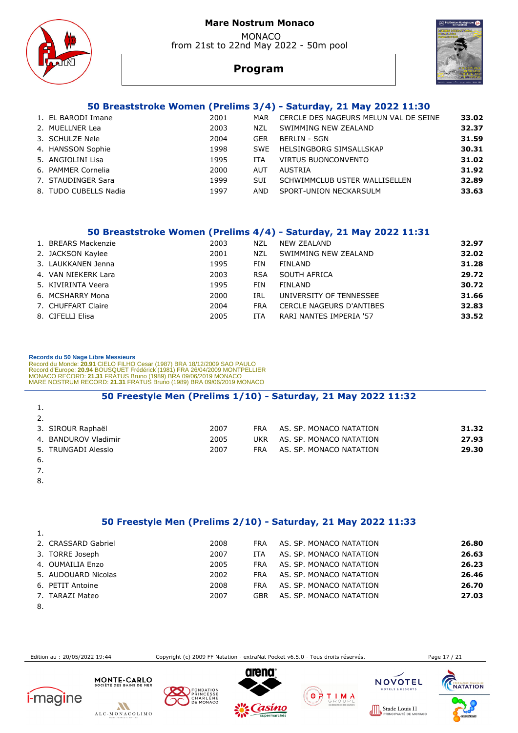MONACO from 21st to 22nd May 2022 - 50m pool





# **Program**

# **50 Breaststroke Women (Prelims 3/4) - Saturday, 21 May 2022 11:30**

| 1. EL BARODI Imane    | 2001 | MAR        | CERCLE DES NAGEURS MELUN VAL DE SEINE | 33.02 |
|-----------------------|------|------------|---------------------------------------|-------|
| 2. MUELLNER Lea       | 2003 | NZL        | SWIMMING NEW ZEALAND                  | 32.37 |
| 3. SCHULZE Nele       | 2004 | <b>GER</b> | <b>BERLIN - SGN</b>                   | 31.59 |
| 4. HANSSON Sophie     | 1998 | <b>SWF</b> | HELSINGBORG SIMSALLSKAP               | 30.31 |
| 5. ANGIOLINI Lisa     | 1995 | ITA        | VIRTUS BUONCONVENTO                   | 31.02 |
| 6. PAMMER Cornelia    | 2000 | <b>AUT</b> | AUSTRIA                               | 31.92 |
| 7. STAUDINGER Sara    | 1999 | <b>SUI</b> | SCHWIMMCLUB USTER WALLISELLEN         | 32.89 |
| 8. TUDO CUBELLS Nadia | 1997 | AND        | SPORT-UNION NECKARSULM                | 33.63 |
|                       |      |            |                                       |       |

#### **50 Breaststroke Women (Prelims 4/4) - Saturday, 21 May 2022 11:31**

| 2003                                                                                                                                                                      | NZL        | NEW ZEALAND                     | 32.97 |
|---------------------------------------------------------------------------------------------------------------------------------------------------------------------------|------------|---------------------------------|-------|
| 2001                                                                                                                                                                      | NZL        | SWIMMING NEW ZEALAND            | 32.02 |
| 1995                                                                                                                                                                      | FIN        | FINLAND                         | 31.28 |
| 2003                                                                                                                                                                      | <b>RSA</b> | SOUTH AFRICA                    | 29.72 |
| 1995                                                                                                                                                                      | FIN        | FINLAND                         | 30.72 |
| 2000                                                                                                                                                                      | IRL        | UNIVERSITY OF TENNESSEE         | 31.66 |
| 2004                                                                                                                                                                      | FRA        | <b>CERCLE NAGEURS D'ANTIBES</b> | 32.83 |
| 2005                                                                                                                                                                      | ITA        | RARI NANTES IMPERIA '57         | 33.52 |
| 1. BREARS Mackenzie<br>2. JACKSON Kaylee<br>3. LAUKKANEN Jenna<br>4. VAN NIEKERK Lara<br>5. KIVIRINTA Veera<br>6. MCSHARRY Mona<br>7. CHUFFART Claire<br>8. CIFELLI Elisa |            |                                 |       |

#### **Records du 50 Nage Libre Messieurs**

Record du Monde: **20.91** CIELO FILHO Cesar (1987) BRA 18/12/2009 SAO PAULO<br>Record d'Europe: 2**0.94** BOUSQUET Frédérick (1981) FRA 26/04/2009 MONTPELLIER<br>MONACO RECORD: **21.31** FRATUS Bruno (1989) BRA 09/06/2019 MONACO<br>MARE

#### **50 Freestyle Men (Prelims 1/10) - Saturday, 21 May 2022 11:32**

| 1.  |                      |      |            |                         |       |
|-----|----------------------|------|------------|-------------------------|-------|
| 2.  |                      |      |            |                         |       |
|     | 3. SIROUR Raphaël    | 2007 | <b>FRA</b> | AS. SP. MONACO NATATION | 31.32 |
|     | 4. BANDUROV Vladimir | 2005 | UKR        | AS. SP. MONACO NATATION | 27.93 |
|     | 5. TRUNGADI Alessio  | 2007 | <b>FRA</b> | AS. SP. MONACO NATATION | 29.30 |
| -6. |                      |      |            |                         |       |
| 7.  |                      |      |            |                         |       |
|     |                      |      |            |                         |       |

8.

# **50 Freestyle Men (Prelims 2/10) - Saturday, 21 May 2022 11:33**

| 2. CRASSARD Gabriel | 2008 | <b>FRA</b> | AS. SP. MONACO NATATION | 26.80 |
|---------------------|------|------------|-------------------------|-------|
| 3. TORRE Joseph     | 2007 | ITA.       | AS. SP. MONACO NATATION | 26.63 |
| 4. OUMAILIA Enzo    | 2005 | <b>FRA</b> | AS. SP. MONACO NATATION | 26.23 |
| 5. AUDOUARD Nicolas | 2002 | <b>FRA</b> | AS. SP. MONACO NATATION | 26.46 |
| 6. PETIT Antoine    | 2008 | <b>FRA</b> | AS. SP. MONACO NATATION | 26.70 |
| 7. TARAZI Mateo     | 2007 | GBR        | AS. SP. MONACO NATATION | 27.03 |
|                     |      |            |                         |       |

8.

Edition au : 20/05/2022 19:44 Copyright (c) 2009 FF Natation - extraNat Pocket v6.5.0 - Tous droits réservés. Page 17 / 21





MONTE . CARLO





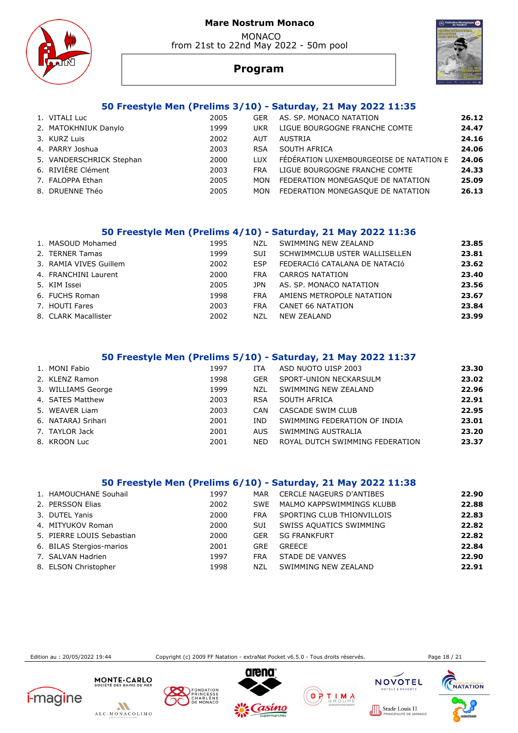MONACO from 21st to 22nd May 2022 - 50m pool





# **Program**

### **50 Freestyle Men (Prelims 3/10) - Saturday, 21 May 2022 11:35**

| 1. VITALI Luc            | 2005 | <b>GER</b> | AS. SP. MONACO NATATION                  | 26.12 |
|--------------------------|------|------------|------------------------------------------|-------|
| 2. MATOKHNIUK Danylo     | 1999 | UKR        | LIGUE BOURGOGNE FRANCHE COMTE            | 24.47 |
| 3. KURZ Luis             | 2002 | AUT        | AUSTRIA                                  | 24.16 |
| 4. PARRY Joshua          | 2003 | <b>RSA</b> | SOUTH AFRICA                             | 24.06 |
| 5. VANDERSCHRICK Stephan | 2000 | LUX.       | FÉDÉRATION LUXEMBOURGEOISE DE NATATION E | 24.06 |
| 6. RIVIÈRE Clément       | 2003 | <b>FRA</b> | LIGUE BOURGOGNE FRANCHE COMTE            | 24.33 |
| 7. FALOPPA Ethan         | 2005 | MON        | FEDERATION MONEGASQUE DE NATATION        | 25.09 |
| 8. DRUENNE Théo          | 2005 | MON        | FEDERATION MONEGASQUE DE NATATION        | 26.13 |
|                          |      |            |                                          |       |

#### **50 Freestyle Men (Prelims 4/10) - Saturday, 21 May 2022 11:36**

| 1. MASOUD Mohamed      | 1995 | NZL        | SWIMMING NEW ZEALAND          | 23.85 |
|------------------------|------|------------|-------------------------------|-------|
| 2. TERNER Tamas        | 1999 | <b>SUI</b> | SCHWIMMCLUB USTER WALLISELLEN | 23.81 |
| 3. RAMIA VIVES Guillem | 2002 | <b>ESP</b> | FEDERACIÓ CATALANA DE NATACIÓ | 23.62 |
| 4. FRANCHINI Laurent   | 2000 | <b>FRA</b> | CARROS NATATION               | 23.40 |
| 5. KIM Issei           | 2005 | 1PN        | AS. SP. MONACO NATATION       | 23.56 |
| 6. FUCHS Roman         | 1998 | <b>FRA</b> | AMIENS METROPOLE NATATION     | 23.67 |
| 7. HOUTI Fares         | 2003 | FRA        | CANET 66 NATATION             | 23.84 |
| 8. CLARK Macallister   | 2002 | NZL        | NEW ZEALAND                   | 23.99 |
|                        |      |            |                               |       |

#### **50 Freestyle Men (Prelims 5/10) - Saturday, 21 May 2022 11:37**

| 1. MONI Fabio      | 1997 | <b>ITA</b> | ASD NUOTO UISP 2003             | 23.30 |
|--------------------|------|------------|---------------------------------|-------|
| 2. KLENZ Ramon     | 1998 | GER        | SPORT-UNION NECKARSULM          | 23.02 |
| 3. WILLIAMS George | 1999 | NZL        | SWIMMING NEW ZEALAND            | 22.96 |
| 4. SATES Matthew   | 2003 | <b>RSA</b> | SOUTH AFRICA                    | 22.91 |
| 5. WEAVER Liam     | 2003 | CAN        | CASCADE SWIM CLUB               | 22.95 |
| 6. NATARAJ Srihari | 2001 | IND.       | SWIMMING FEDERATION OF INDIA    | 23.01 |
| 7. TAYLOR Jack     | 2001 | AUS.       | SWIMMING AUSTRALIA              | 23.20 |
| 8. KROON Luc       | 2001 | NFD.       | ROYAL DUTCH SWIMMING FEDERATION | 23.37 |

#### **50 Freestyle Men (Prelims 6/10) - Saturday, 21 May 2022 11:38**

| 1. HAMOUCHANE Souhail     | 1997 | MAR        | CERCLE NAGEURS D'ANTIBES   | 22.90 |
|---------------------------|------|------------|----------------------------|-------|
| 2. PERSSON Elias          | 2002 | <b>SWF</b> | MALMO KAPPSWIMMINGS KLUBB  | 22.88 |
| 3. DUTEL Yanis            | 2000 | <b>FRA</b> | SPORTING CLUB THIONVILLOIS | 22.83 |
| 4. MITYUKOV Roman         | 2000 | <b>SUI</b> | SWISS AQUATICS SWIMMING    | 22.82 |
| 5. PIERRE LOUIS Sebastian | 2000 | <b>GER</b> | <b>SG FRANKFURT</b>        | 22.82 |
| 6. BILAS Stergios-marios  | 2001 | <b>GRE</b> | <b>GREECE</b>              | 22.84 |
| 7. SALVAN Hadrien         | 1997 | <b>FRA</b> | STADE DE VANVES            | 22.90 |
| 8. ELSON Christopher      | 1998 | NZL        | SWIMMING NEW ZEALAND       | 22.91 |

Edition au : 20/05/2022 19:44 Copyright (c) 2009 FF Natation - extraNat Pocket v6.5.0 - Tous droits réservés. Page 18 / 21











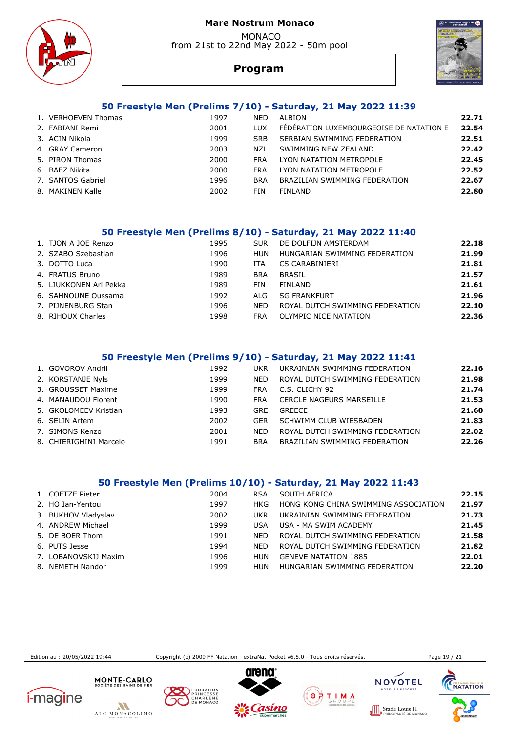MONACO from 21st to 22nd May 2022 - 50m pool





# **Program**

#### **50 Freestyle Men (Prelims 7/10) - Saturday, 21 May 2022 11:39**

| 1. VERHOEVEN Thomas | 1997 | <b>NED</b> | ALBION                                   | 22.71 |
|---------------------|------|------------|------------------------------------------|-------|
| 2. FABIANI Remi     | 2001 | LUX        | FÉDÉRATION LUXEMBOURGEOISE DE NATATION E | 22.54 |
| 3. ACIN Nikola      | 1999 | <b>SRB</b> | SERBIAN SWIMMING FEDERATION              | 22.51 |
| 4. GRAY Cameron     | 2003 | N71        | SWIMMING NEW ZEALAND                     | 22.42 |
| 5. PIRON Thomas     | 2000 | FRA        | LYON NATATION METROPOLE                  | 22.45 |
| 6. BAEZ Nikita      | 2000 | FRA        | LYON NATATION METROPOLE                  | 22.52 |
| 7. SANTOS Gabriel   | 1996 | <b>BRA</b> | BRAZILIAN SWIMMING FEDERATION            | 22.67 |
| 8. MAKINEN Kalle    | 2002 | FIN.       | <b>FINLAND</b>                           | 22.80 |

#### **50 Freestyle Men (Prelims 8/10) - Saturday, 21 May 2022 11:40**

| 1. TJON A JOE Renzo    | 1995 | <b>SUR</b> | DE DOLFIJN AMSTERDAM            | 22.18 |
|------------------------|------|------------|---------------------------------|-------|
| 2. SZABO Szebastian    | 1996 | <b>HUN</b> | HUNGARIAN SWIMMING FEDERATION   | 21.99 |
| 3. DOTTO Luca          | 1990 | ITA        | CS CARABINIERI                  | 21.81 |
| 4. FRATUS Bruno        | 1989 | <b>BRA</b> | BRASIL                          | 21.57 |
| 5. LIUKKONEN Ari Pekka | 1989 | <b>FIN</b> | <b>FINLAND</b>                  | 21.61 |
| 6. SAHNOUNE Oussama    | 1992 | ALG.       | <b>SG FRANKFURT</b>             | 21.96 |
| 7. PIJNENBURG Stan     | 1996 | <b>NED</b> | ROYAL DUTCH SWIMMING FEDERATION | 22.10 |
| 8. RIHOUX Charles      | 1998 | <b>FRA</b> | OLYMPIC NICE NATATION           | 22.36 |
|                        |      |            |                                 |       |

#### **50 Freestyle Men (Prelims 9/10) - Saturday, 21 May 2022 11:41**

| 1. GOVOROV Andrii      | 1992 | UKR        | UKRAINIAN SWIMMING FEDERATION   | 22.16 |
|------------------------|------|------------|---------------------------------|-------|
| 2. KORSTANJE Nyls      | 1999 | <b>NFD</b> | ROYAL DUTCH SWIMMING FEDERATION | 21.98 |
| 3. GROUSSET Maxime     | 1999 | <b>FRA</b> | C.S. CLICHY 92                  | 21.74 |
| 4. MANAUDOU Florent    | 1990 | <b>FRA</b> | CERCLE NAGEURS MARSEILLE        | 21.53 |
| 5. GKOLOMEEV Kristian  | 1993 | <b>GRE</b> | <b>GREECE</b>                   | 21.60 |
| 6. SELIN Artem         | 2002 | <b>GFR</b> | SCHWIMM CLUB WIESBADEN          | 21.83 |
| 7. SIMONS Kenzo        | 2001 | <b>NED</b> | ROYAL DUTCH SWIMMING FEDERATION | 22.02 |
| 8. CHIERIGHINI Marcelo | 1991 | <b>BRA</b> | BRAZILIAN SWIMMING FEDERATION   | 22.26 |

#### **50 Freestyle Men (Prelims 10/10) - Saturday, 21 May 2022 11:43**

| 1. COETZE Pieter     | 2004 | <b>RSA</b> | SOUTH AFRICA                         | 22.15 |
|----------------------|------|------------|--------------------------------------|-------|
| 2. HO Ian-Yentou     | 1997 | HKG        | HONG KONG CHINA SWIMMING ASSOCIATION | 21.97 |
| 3. BUKHOV Vladyslav  | 2002 | UKR        | UKRAINIAN SWIMMING FEDERATION        | 21.73 |
| 4. ANDREW Michael    | 1999 | <b>USA</b> | USA - MA SWIM ACADEMY                | 21.45 |
| 5. DE BOER Thom      | 1991 | NFD.       | ROYAL DUTCH SWIMMING FEDERATION      | 21.58 |
| 6. PUTS Jesse        | 1994 | NFD.       | ROYAL DUTCH SWIMMING FEDERATION      | 21.82 |
| 7. LOBANOVSKIJ Maxim | 1996 | <b>HUN</b> | <b>GENEVE NATATION 1885</b>          | 22.01 |
| 8. NEMETH Nandor     | 1999 | <b>HUN</b> | HUNGARIAN SWIMMING FEDERATION        | 22.20 |

Edition au : 20/05/2022 19:44 Copyright (c) 2009 FF Natation - extraNat Pocket v6.5.0 - Tous droits réservés. Page 19 / 21





MONTE CARLO







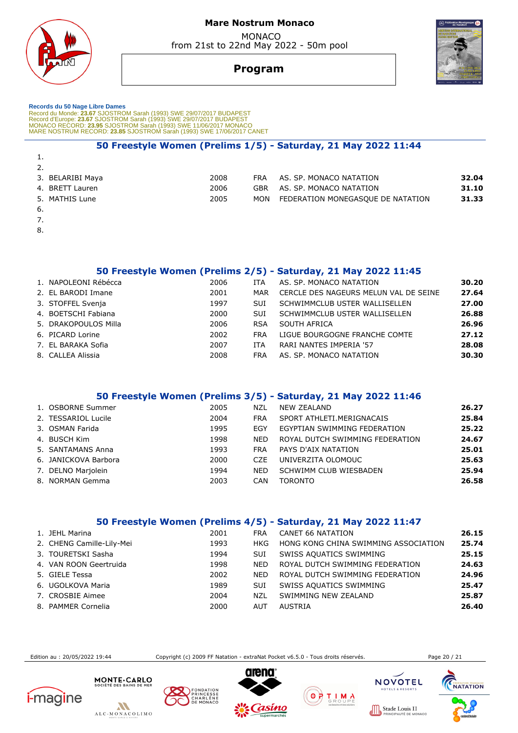

# **Mare Nostrum Monaco**  MONACO

from 21st to 22nd May 2022 - 50m pool



# **Program**

 **Records du 50 Nage Libre Dames**  Record du Monde: 23.67 SJOSTROM Sarah (1993) SWE 29/07/2017 BUDAPEST<br>Record d'Europe: 23.67 SJOSTROM Sarah (1993) SWE 29/07/2017 BUDAPEST<br>MONACO RECORD: 23.95 SJOSTROM Sarah (1993) SWE 11/06/2017 MONACO<br>MARE NOSTRUM RECORD

# **50 Freestyle Women (Prelims 1/5) - Saturday, 21 May 2022 11:44**

| 2.  |                  |      |            |                                   |       |
|-----|------------------|------|------------|-----------------------------------|-------|
|     | 3. BELARIBI Maya | 2008 | <b>FRA</b> | AS. SP. MONACO NATATION           | 32.04 |
|     | 4. BRETT Lauren  | 2006 | GBR        | AS. SP. MONACO NATATION           | 31.10 |
|     | 5. MATHIS Lune   | 2005 | MON        | FEDERATION MONEGASOUE DE NATATION | 31.33 |
| -6. |                  |      |            |                                   |       |

7.

1.

8.

 **50 Freestyle Women (Prelims 2/5) - Saturday, 21 May 2022 11:45** 

| 1. NAPOLEONI Rébécca | 2006 | ITA        | AS. SP. MONACO NATATION               | 30.20 |
|----------------------|------|------------|---------------------------------------|-------|
| 2. EL BARODI Imane   | 2001 | MAR        | CERCLE DES NAGEURS MELUN VAL DE SEINE | 27.64 |
| 3. STOFFEL Svenja    | 1997 | <b>SUI</b> | SCHWIMMCLUB USTER WALLISELLEN         | 27.00 |
| 4. BOETSCHI Fabiana  | 2000 | <b>SUI</b> | SCHWIMMCLUB USTER WALLISELLEN         | 26.88 |
| 5. DRAKOPOULOS Milla | 2006 | <b>RSA</b> | SOUTH AFRICA                          | 26.96 |
| 6. PICARD Lorine     | 2002 | <b>FRA</b> | LIGUE BOURGOGNE FRANCHE COMTE         | 27.12 |
| 7. EL BARAKA Sofia   | 2007 | <b>ITA</b> | RARI NANTES IMPERIA '57               | 28.08 |
| 8. CALLEA Alissia    | 2008 | <b>FRA</b> | AS. SP. MONACO NATATION               | 30.30 |
|                      |      |            |                                       |       |

#### **50 Freestyle Women (Prelims 3/5) - Saturday, 21 May 2022 11:46**

| 1. OSBORNE Summer    | 2005 | NZL        | NEW ZEALAND                     | 26.27 |
|----------------------|------|------------|---------------------------------|-------|
| 2. TESSARIOL Lucile  | 2004 | <b>FRA</b> | SPORT ATHLETI MERIGNACAIS       | 25.84 |
| 3. OSMAN Farida      | 1995 | EGY        | EGYPTIAN SWIMMING FEDERATION    | 25.22 |
| 4. BUSCH Kim         | 1998 | <b>NFD</b> | ROYAL DUTCH SWIMMING FEDERATION | 24.67 |
| 5. SANTAMANS Anna    | 1993 | <b>FRA</b> | PAYS D'AIX NATATION             | 25.01 |
| 6. JANICKOVA Barbora | 2000 | CZE        | UNIVERZITA OLOMOUC              | 25.63 |
| 7. DELNO Marjolein   | 1994 | NFD.       | SCHWIMM CLUB WIESBADEN          | 25.94 |
| 8. NORMAN Gemma      | 2003 | <b>CAN</b> | <b>TORONTO</b>                  | 26.58 |

### **50 Freestyle Women (Prelims 4/5) - Saturday, 21 May 2022 11:47**

| 1. JEHL Marina            | 2001 | <b>FRA</b> | CANET 66 NATATION                    | 26.15 |
|---------------------------|------|------------|--------------------------------------|-------|
| 2. CHENG Camille-Lily-Mei | 1993 | HKG        | HONG KONG CHINA SWIMMING ASSOCIATION | 25.74 |
| 3. TOURETSKI Sasha        | 1994 | SUI        | SWISS AQUATICS SWIMMING              | 25.15 |
| 4. VAN ROON Geertruida    | 1998 | <b>NED</b> | ROYAL DUTCH SWIMMING FEDERATION      | 24.63 |
| 5. GIELE Tessa            | 2002 | <b>NED</b> | ROYAL DUTCH SWIMMING FEDERATION      | 24.96 |
| 6. UGOLKOVA Maria         | 1989 | <b>SUI</b> | SWISS AQUATICS SWIMMING              | 25.47 |
| 7. CROSBIE Aimee          | 2004 | NZL        | SWIMMING NEW ZEALAND                 | 25.87 |
| 8. PAMMER Cornelia        | 2000 | AUT        | AUSTRIA                              | 26.40 |

Edition au : 20/05/2022 19:44 Copyright (c) 2009 FF Natation - extraNat Pocket v6.5.0 - Tous droits réservés. Page 20 / 21











ΘF